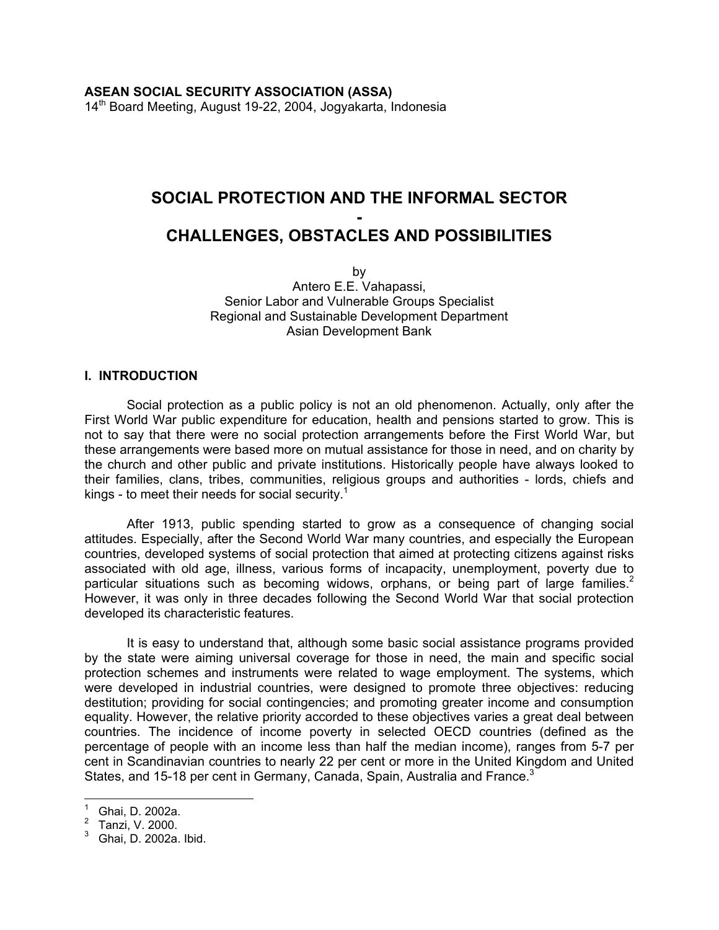# **SOCIAL PROTECTION AND THE INFORMAL SECTOR - CHALLENGES, OBSTACLES AND POSSIBILITIES**

by Antero E.E. Vahapassi, Senior Labor and Vulnerable Groups Specialist Regional and Sustainable Development Department Asian Development Bank

#### **I. INTRODUCTION**

 Social protection as a public policy is not an old phenomenon. Actually, only after the First World War public expenditure for education, health and pensions started to grow. This is not to say that there were no social protection arrangements before the First World War, but these arrangements were based more on mutual assistance for those in need, and on charity by the church and other public and private institutions. Historically people have always looked to their families, clans, tribes, communities, religious groups and authorities - lords, chiefs and kings - to meet their needs for social security.<sup>[1](#page-0-0)</sup>

 After 1913, public spending started to grow as a consequence of changing social attitudes. Especially, after the Second World War many countries, and especially the European countries, developed systems of social protection that aimed at protecting citizens against risks associated with old age, illness, various forms of incapacity, unemployment, poverty due to particular situations such as becoming widows, orphans, or being part of large families.<sup>2</sup> However, it was only in three decades following the Second World War that social protection developed its characteristic features.

 It is easy to understand that, although some basic social assistance programs provided by the state were aiming universal coverage for those in need, the main and specific social protection schemes and instruments were related to wage employment. The systems, which were developed in industrial countries, were designed to promote three objectives: reducing destitution; providing for social contingencies; and promoting greater income and consumption equality. However, the relative priority accorded to these objectives varies a great deal between countries. The incidence of income poverty in selected OECD countries (defined as the percentage of people with an income less than half the median income), ranges from 5-7 per cent in Scandinavian countries to nearly 22 per cent or more in the United Kingdom and United States, and 15-18 per cent in Germany, Canada, Spain, Australia and France.<sup>[3](#page-0-2)</sup>

<span id="page-0-0"></span> 1 Ghai, D. 2002a.

<span id="page-0-1"></span><sup>&</sup>lt;sup>2</sup> Tanzi, V. 2000.<br><sup>3</sup> Choi D. 2002e.

<span id="page-0-2"></span>Ghai, D. 2002a. Ibid.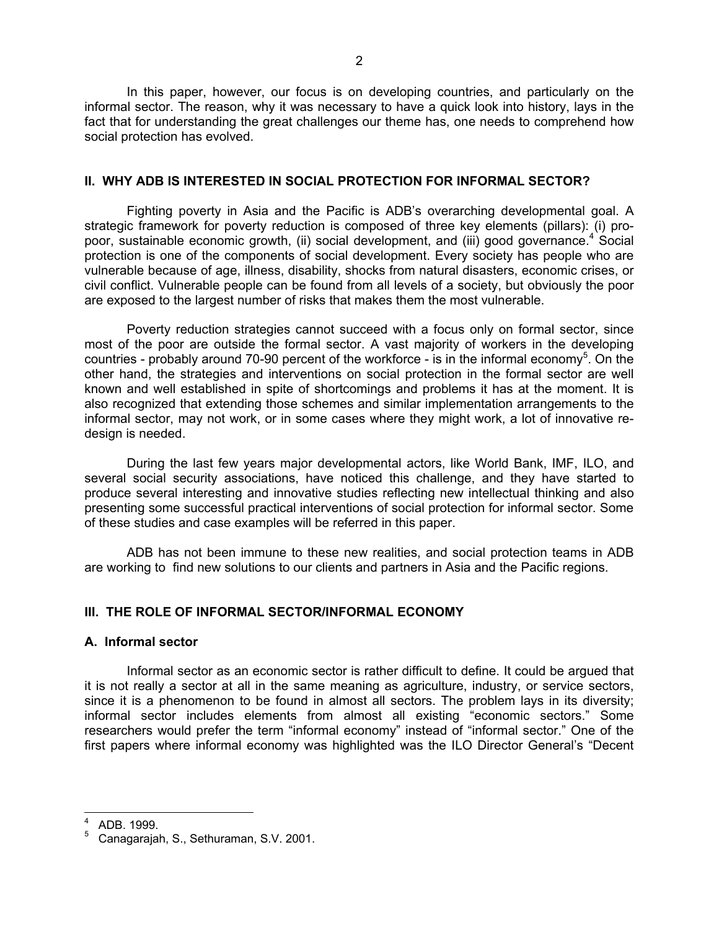In this paper, however, our focus is on developing countries, and particularly on the informal sector. The reason, why it was necessary to have a quick look into history, lays in the fact that for understanding the great challenges our theme has, one needs to comprehend how social protection has evolved.

#### **II. WHY ADB IS INTERESTED IN SOCIAL PROTECTION FOR INFORMAL SECTOR?**

 Fighting poverty in Asia and the Pacific is ADB's overarching developmental goal. A strategic framework for poverty reduction is composed of three key elements (pillars): (i) propoor,sustainable economic growth, (ii) social development, and (iii) good governance.<sup>4</sup> Social protection is one of the components of social development. Every society has people who are vulnerable because of age, illness, disability, shocks from natural disasters, economic crises, or civil conflict. Vulnerable people can be found from all levels of a society, but obviously the poor are exposed to the largest number of risks that makes them the most vulnerable.

 Poverty reduction strategies cannot succeed with a focus only on formal sector, since most of the poor are outside the formal sector. A vast majority of workers in the developing countries - probably around 70-90 percent of the workforce - is in the informal economy<sup>[5](#page-1-1)</sup>. On the other hand, the strategies and interventions on social protection in the formal sector are well known and well established in spite of shortcomings and problems it has at the moment. It is also recognized that extending those schemes and similar implementation arrangements to the informal sector, may not work, or in some cases where they might work, a lot of innovative redesign is needed.

 During the last few years major developmental actors, like World Bank, IMF, ILO, and several social security associations, have noticed this challenge, and they have started to produce several interesting and innovative studies reflecting new intellectual thinking and also presenting some successful practical interventions of social protection for informal sector. Some of these studies and case examples will be referred in this paper.

 ADB has not been immune to these new realities, and social protection teams in ADB are working to find new solutions to our clients and partners in Asia and the Pacific regions.

## **III. THE ROLE OF INFORMAL SECTOR/INFORMAL ECONOMY**

#### **A. Informal sector**

 Informal sector as an economic sector is rather difficult to define. It could be argued that it is not really a sector at all in the same meaning as agriculture, industry, or service sectors, since it is a phenomenon to be found in almost all sectors. The problem lays in its diversity; informal sector includes elements from almost all existing "economic sectors." Some researchers would prefer the term "informal economy" instead of "informal sector." One of the first papers where informal economy was highlighted was the ILO Director General's "Decent

<span id="page-1-0"></span><sup>4</sup> ADB. 1999.

<span id="page-1-1"></span><sup>5</sup> Canagarajah, S., Sethuraman, S.V. 2001.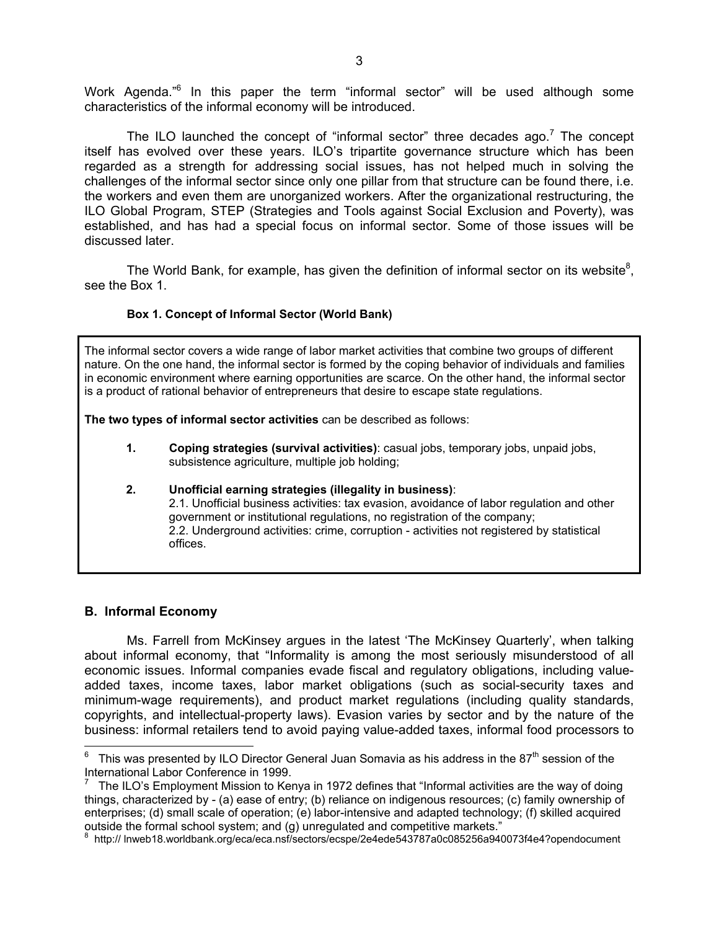WorkAgenda."<sup>6</sup> In this paper the term "informal sector" will be used although some characteristics of the informal economy will be introduced.

TheILO launched the concept of "informal sector" three decades ago.<sup>7</sup> The concept itself has evolved over these years. ILO's tripartite governance structure which has been regarded as a strength for addressing social issues, has not helped much in solving the challenges of the informal sector since only one pillar from that structure can be found there, i.e. the workers and even them are unorganized workers. After the organizational restructuring, the ILO Global Program, STEP (Strategies and Tools against Social Exclusion and Poverty), was established, and has had a special focus on informal sector. Some of those issues will be discussed later.

The World Bank, for example, has given the definition of informal sector on its website<sup>[8](#page-2-2)</sup>, see the Box 1.

#### **Box 1. Concept of Informal Sector (World Bank)**

The informal sector covers a wide range of labor market activities that combine two groups of different nature. On the one hand, the informal sector is formed by the coping behavior of individuals and families in economic environment where earning opportunities are scarce. On the other hand, the informal sector is a product of rational behavior of entrepreneurs that desire to escape state regulations.

**The two types of informal sector activities** can be described as follows:

**1. Coping strategies (survival activities)**: casual jobs, temporary jobs, unpaid jobs, subsistence agriculture, multiple job holding;

#### **2. Unofficial earning strategies (illegality in business)**: 2.1. Unofficial business activities: tax evasion, avoidance of labor regulation and other government or institutional regulations, no registration of the company; 2.2. Underground activities: crime, corruption - activities not registered by statistical offices.

#### **B. Informal Economy**

 Ms. Farrell from McKinsey argues in the latest 'The McKinsey Quarterly', when talking about informal economy, that "Informality is among the most seriously misunderstood of all economic issues. Informal companies evade fiscal and regulatory obligations, including valueadded taxes, income taxes, labor market obligations (such as social-security taxes and minimum-wage requirements), and product market regulations (including quality standards, copyrights, and intellectual-property laws). Evasion varies by sector and by the nature of the business: informal retailers tend to avoid paying value-added taxes, informal food processors to

<span id="page-2-0"></span><sup>&</sup>lt;u>communities was presented by ILO Director General Juan Somavia as his address in the 87<sup>th</sup> session of the <sup>6</sup></u> International Labor Conference in 1999.

<span id="page-2-1"></span><sup>7</sup> The ILO's Employment Mission to Kenya in 1972 defines that "Informal activities are the way of doing things, characterized by - (a) ease of entry; (b) reliance on indigenous resources; (c) family ownership of enterprises; (d) small scale of operation; (e) labor-intensive and adapted technology; (f) skilled acquired outside the formal school system; and (g) unregulated and competitive markets."

<span id="page-2-2"></span>http:// lnweb18.worldbank.org/eca/eca.nsf/sectors/ecspe/2e4ede543787a0c085256a940073f4e4?opendocument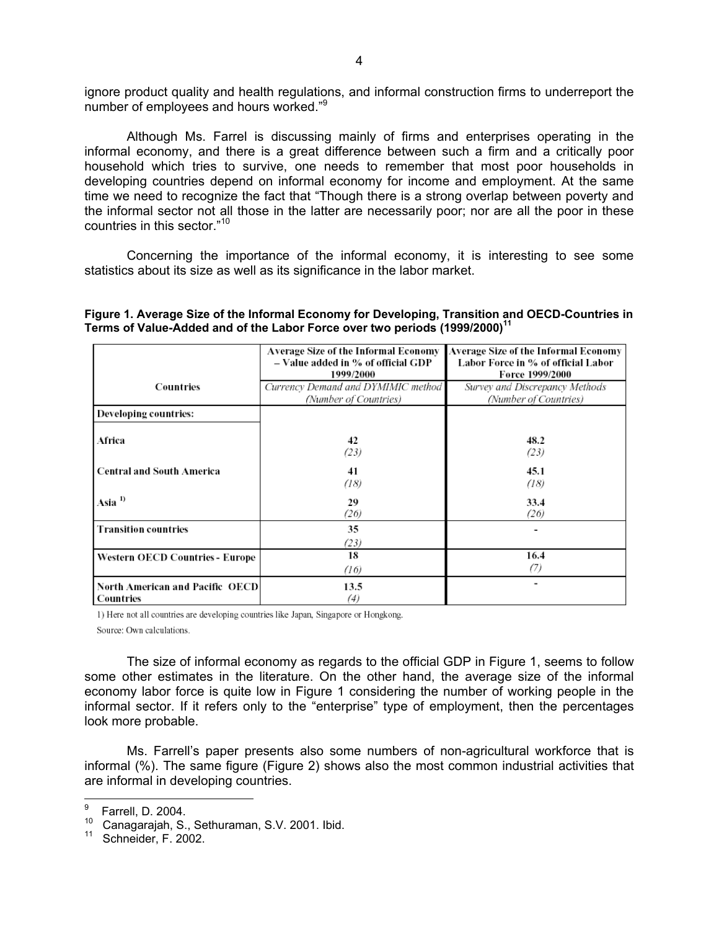ignore product quality and health regulations, and informal construction firms to underreport the number of employees and hours worked."[9](#page-3-0)

Although Ms. Farrel is discussing mainly of firms and enterprises operating in the informal economy, and there is a great difference between such a firm and a critically poor household which tries to survive, one needs to remember that most poor households in developing countries depend on informal economy for income and employment. At the same time we need to recognize the fact that "Though there is a strong overlap between poverty and the informal sector not all those in the latter are necessarily poor; nor are all the poor in these countries in this sector.["10](#page-3-1)

Concerning the importance of the informal economy, it is interesting to see some statistics about its size as well as its significance in the labor market.

| Figure 1. Average Size of the Informal Economy for Developing, Transition and OECD-Countries in |  |
|-------------------------------------------------------------------------------------------------|--|
| Terms of Value-Added and of the Labor Force over two periods $(1999/2000)^{11}$                 |  |

|                                              | Average Size of the Informal Economy<br>- Value added in % of official GDP<br>1999/2000 | Average Size of the Informal Economy<br>Labor Force in % of official Labor<br>Force 1999/2000 |
|----------------------------------------------|-----------------------------------------------------------------------------------------|-----------------------------------------------------------------------------------------------|
| Countries                                    | Currency Demand and DYMIMIC method<br>(Number of Countries)                             | Survey and Discrepancy Methods<br>(Number of Countries)                                       |
| Developing countries:                        |                                                                                         |                                                                                               |
| Africa                                       | 42<br>(23)                                                                              | 48.2<br>(23)                                                                                  |
| <b>Central and South America</b>             | 41<br>(18)                                                                              | 45.1<br>(18)                                                                                  |
| Asia <sup>1</sup>                            | 29<br>(26)                                                                              | 33.4<br>(26)                                                                                  |
| <b>Transition countries</b>                  | 35<br>(23)                                                                              |                                                                                               |
| <b>Western OECD Countries - Europe</b>       | 18<br>(16)                                                                              | 16.4<br>(7)                                                                                   |
| North American and Pacific OECD<br>Countries | 13.5<br>(4)                                                                             | ۰                                                                                             |

1) Here not all countries are developing countries like Japan, Singapore or Hongkong.

Source: Own calculations.

The size of informal economy as regards to the official GDP in Figure 1, seems to follow some other estimates in the literature. On the other hand, the average size of the informal economy labor force is quite low in Figure 1 considering the number of working people in the informal sector. If it refers only to the "enterprise" type of employment, then the percentages look more probable.

Ms. Farrell's paper presents also some numbers of non-agricultural workforce that is informal (%). The same figure (Figure 2) shows also the most common industrial activities that are informal in developing countries.

<span id="page-3-0"></span> <sup>9</sup> Farrell, D. 2004.

<span id="page-3-1"></span><sup>&</sup>lt;sup>10</sup> Canagarajah, S., Sethuraman, S.V. 2001. Ibid.<br><sup>11</sup> Cabasidas E. 3003.

<span id="page-3-2"></span>Schneider, F. 2002.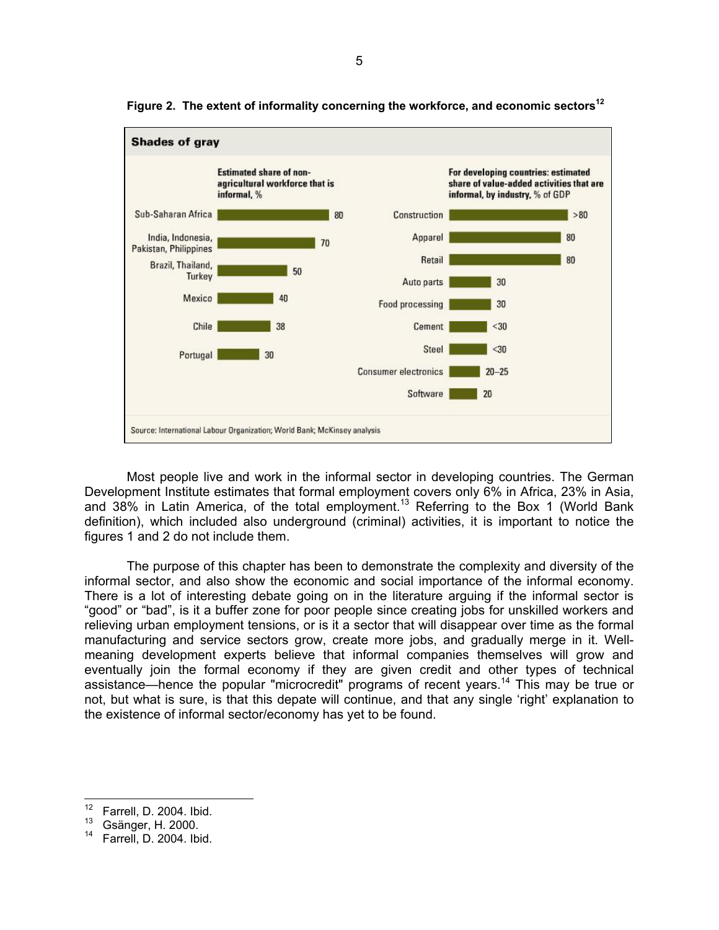

**Figure 2. The extent of informality concerning the workforce, and economic sectors[12](#page-4-0)**

Most people live and work in the informal sector in developing countries. The German Development Institute estimates that formal employment covers only 6% in Africa, 23% in Asia, and 38% in Latin America, of the total employment.[13](#page-4-1) Referring to the Box 1 (World Bank definition), which included also underground (criminal) activities, it is important to notice the figures 1 and 2 do not include them.

The purpose of this chapter has been to demonstrate the complexity and diversity of the informal sector, and also show the economic and social importance of the informal economy. There is a lot of interesting debate going on in the literature arguing if the informal sector is "good" or "bad", is it a buffer zone for poor people since creating jobs for unskilled workers and relieving urban employment tensions, or is it a sector that will disappear over time as the formal manufacturing and service sectors grow, create more jobs, and gradually merge in it. Wellmeaning development experts believe that informal companies themselves will grow and eventually join the formal economy if they are given credit and other types of technical assistance—hence the popular "microcredit" programs of recent years.[14](#page-4-2) This may be true or not, but what is sure, is that this depate will continue, and that any single 'right' explanation to the existence of informal sector/economy has yet to be found.

<span id="page-4-0"></span><sup>&</sup>lt;sup>12</sup> Farrell, D. 2004. Ibid.<br><sup>13</sup> Geönger H. 2000.

<span id="page-4-1"></span> $^{13}$  Gsänger, H. 2000.

<span id="page-4-2"></span>Farrell, D. 2004. Ibid.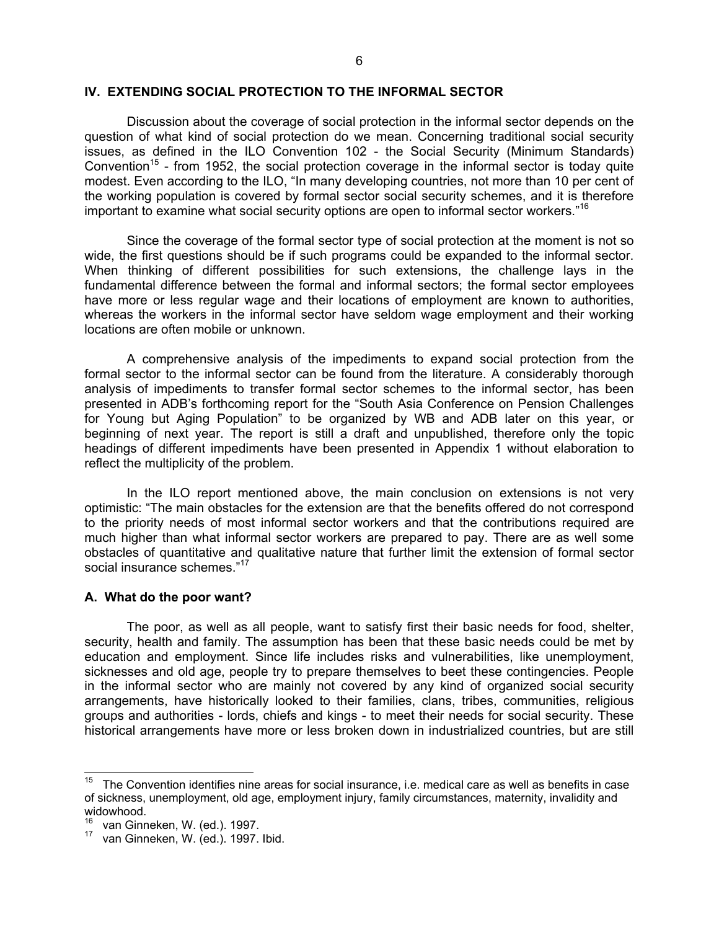#### **IV. EXTENDING SOCIAL PROTECTION TO THE INFORMAL SECTOR**

 Discussion about the coverage of social protection in the informal sector depends on the question of what kind of social protection do we mean. Concerning traditional social security issues, as defined in the ILO Convention 102 - the Social Security (Minimum Standards) Convention<sup>15</sup> - from 1952, the social protection coverage in the informal sector is today quite modest. Even according to the ILO, "In many developing countries, not more than 10 per cent of the working population is covered by formal sector social security schemes, and it is therefore important to examine what social security options are open to informal sector workers."[16](#page-5-1)

 Since the coverage of the formal sector type of social protection at the moment is not so wide, the first questions should be if such programs could be expanded to the informal sector. When thinking of different possibilities for such extensions, the challenge lays in the fundamental difference between the formal and informal sectors; the formal sector employees have more or less regular wage and their locations of employment are known to authorities, whereas the workers in the informal sector have seldom wage employment and their working locations are often mobile or unknown.

 A comprehensive analysis of the impediments to expand social protection from the formal sector to the informal sector can be found from the literature. A considerably thorough analysis of impediments to transfer formal sector schemes to the informal sector, has been presented in ADB's forthcoming report for the "South Asia Conference on Pension Challenges for Young but Aging Population" to be organized by WB and ADB later on this year, or beginning of next year. The report is still a draft and unpublished, therefore only the topic headings of different impediments have been presented in Appendix 1 without elaboration to reflect the multiplicity of the problem.

 In the ILO report mentioned above, the main conclusion on extensions is not very optimistic: "The main obstacles for the extension are that the benefits offered do not correspond to the priority needs of most informal sector workers and that the contributions required are much higher than what informal sector workers are prepared to pay. There are as well some obstacles of quantitative and qualitative nature that further limit the extension of formal sector social insurance schemes."<sup>17</sup>

#### **A. What do the poor want?**

The poor, as well as all people, want to satisfy first their basic needs for food, shelter, security, health and family. The assumption has been that these basic needs could be met by education and employment. Since life includes risks and vulnerabilities, like unemployment, sicknesses and old age, people try to prepare themselves to beet these contingencies. People in the informal sector who are mainly not covered by any kind of organized social security arrangements, have historically looked to their families, clans, tribes, communities, religious groups and authorities - lords, chiefs and kings - to meet their needs for social security. These historical arrangements have more or less broken down in industrialized countries, but are still

<span id="page-5-0"></span> $15$  The Convention identifies nine areas for social insurance, i.e. medical care as well as benefits in case of sickness, unemployment, old age, employment injury, family circumstances, maternity, invalidity and widowhood.

<span id="page-5-1"></span> $16$  van Ginneken, W. (ed.). 1997.<br> $17$  van Ginneken, W. (ed.). 1997. Ibid.

<span id="page-5-2"></span>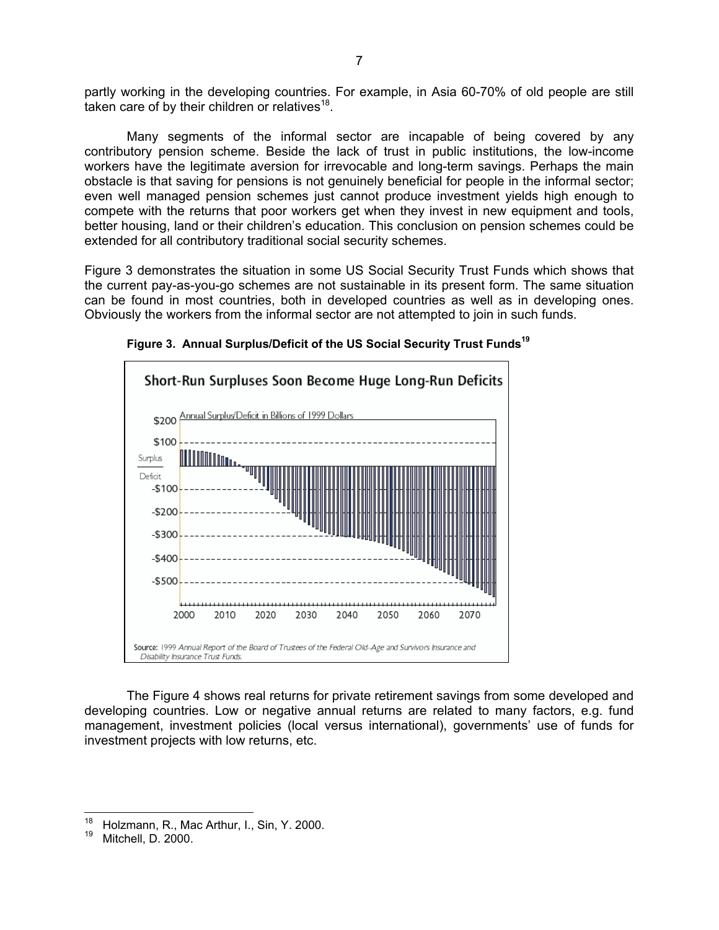partly working in the developing countries. For example, in Asia 60-70% of old people are still taken care of by their children or relatives<sup>18</sup>.

Many segments of the informal sector are incapable of being covered by any contributory pension scheme. Beside the lack of trust in public institutions, the low-income workers have the legitimate aversion for irrevocable and long-term savings. Perhaps the main obstacle is that saving for pensions is not genuinely beneficial for people in the informal sector; even well managed pension schemes just cannot produce investment yields high enough to compete with the returns that poor workers get when they invest in new equipment and tools, better housing, land or their children's education. This conclusion on pension schemes could be extended for all contributory traditional social security schemes.

Figure 3 demonstrates the situation in some US Social Security Trust Funds which shows that the current pay-as-you-go schemes are not sustainable in its present form. The same situation can be found in most countries, both in developed countries as well as in developing ones. Obviously the workers from the informal sector are not attempted to join in such funds.



**Figure 3. Annual Surplus/Deficit of the US Social Security Trust Fund[s19](#page-6-1)**

The Figure 4 shows real returns for private retirement savings from some developed and developing countries. Low or negative annual returns are related to many factors, e.g. fund management, investment policies (local versus international), governments' use of funds for investment projects with low returns, etc.

<span id="page-6-0"></span><sup>18</sup> <sup>18</sup> Holzmann, R., Mac Arthur, I., Sin, Y. 2000.

<span id="page-6-1"></span>Mitchell, D. 2000.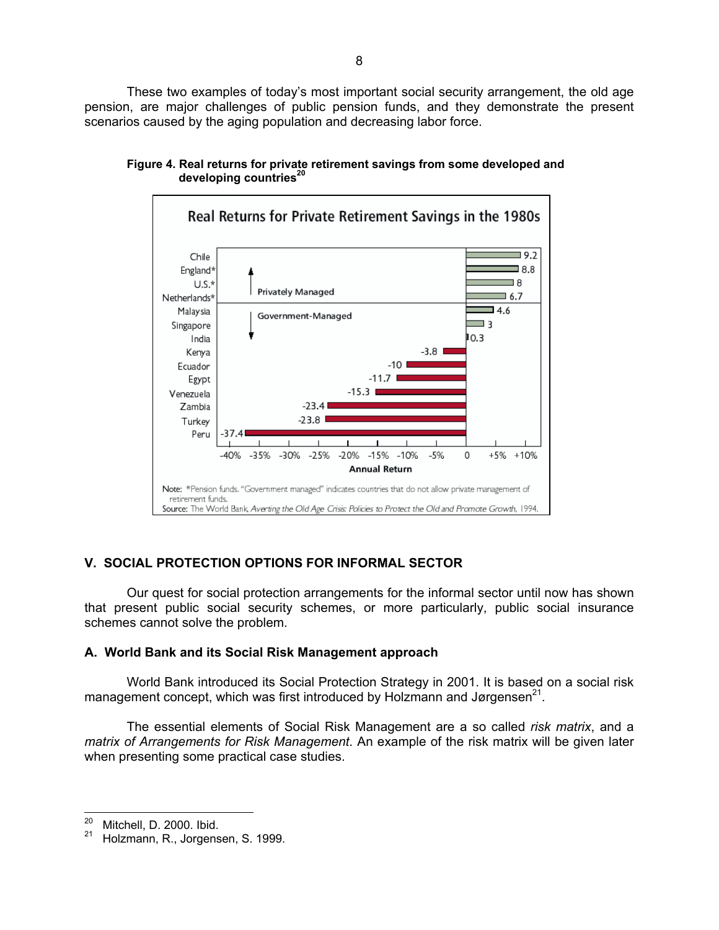These two examples of today's most important social security arrangement, the old age pension, are major challenges of public pension funds, and they demonstrate the present scenarios caused by the aging population and decreasing labor force.



**Figure 4. Real returns for private retirement savings from some developed and developing countries[20](#page-7-0)**

# **V. SOCIAL PROTECTION OPTIONS FOR INFORMAL SECTOR**

Our quest for social protection arrangements for the informal sector until now has shown that present public social security schemes, or more particularly, public social insurance schemes cannot solve the problem.

# **A. World Bank and its Social Risk Management approach**

World Bank introduced its Social Protection Strategy in 2001. It is based on a social risk management concept, which was first introduced by Holzmann and Jørgensen $^{21}$ .

The essential elements of Social Risk Management are a so called *risk matrix*, and a *matrix of Arrangements for Risk Management*. An example of the risk matrix will be given later when presenting some practical case studies.

<span id="page-7-0"></span> $^{20}$  Mitchell, D. 2000. Ibid.

<span id="page-7-1"></span>Holzmann, R., Jorgensen, S. 1999.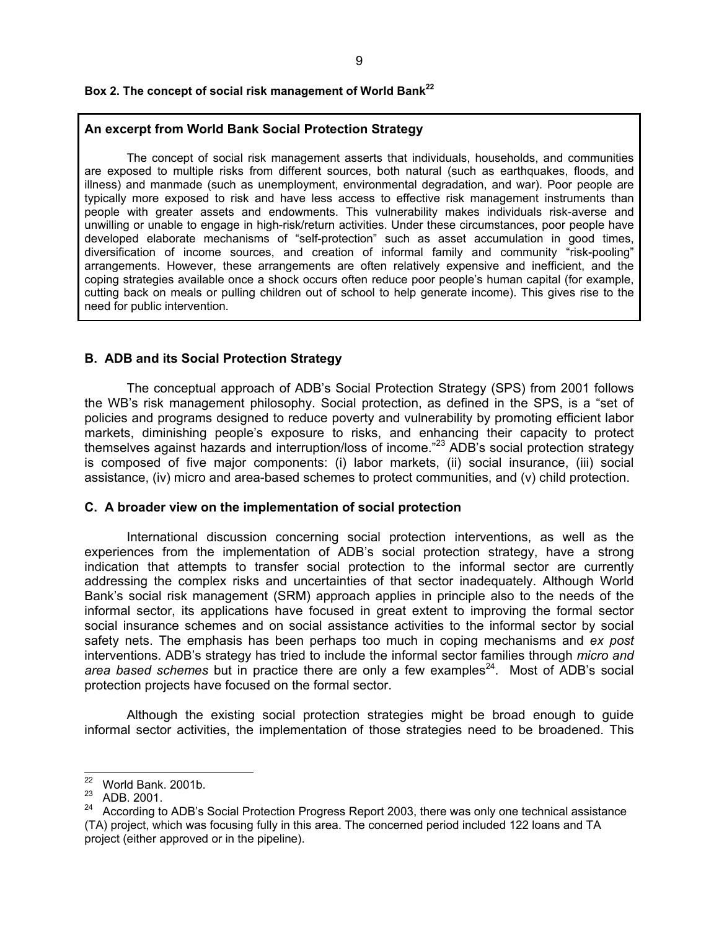## **Box 2. The concept of social risk management of World Bank[22](#page-8-0)**

#### **An excerpt from World Bank Social Protection Strategy**

The concept of social risk management asserts that individuals, households, and communities are exposed to multiple risks from different sources, both natural (such as earthquakes, floods, and illness) and manmade (such as unemployment, environmental degradation, and war). Poor people are typically more exposed to risk and have less access to effective risk management instruments than people with greater assets and endowments. This vulnerability makes individuals risk-averse and unwilling or unable to engage in high-risk/return activities. Under these circumstances, poor people have developed elaborate mechanisms of "self-protection" such as asset accumulation in good times, diversification of income sources, and creation of informal family and community "risk-pooling" arrangements. However, these arrangements are often relatively expensive and inefficient, and the coping strategies available once a shock occurs often reduce poor people's human capital (for example, cutting back on meals or pulling children out of school to help generate income). This gives rise to the need for public intervention.

#### **B. ADB and its Social Protection Strategy**

 The conceptual approach of ADB's Social Protection Strategy (SPS) from 2001 follows the WB's risk management philosophy. Social protection, as defined in the SPS, is a "set of policies and programs designed to reduce poverty and vulnerability by promoting efficient labor markets, diminishing people's exposure to risks, and enhancing their capacity to protect themselves against hazards and interruption/loss of income."[23](#page-8-1) ADB's social protection strategy is composed of five major components: (i) labor markets, (ii) social insurance, (iii) social assistance, (iv) micro and area-based schemes to protect communities, and (v) child protection.

#### **C. A broader view on the implementation of social protection**

 International discussion concerning social protection interventions, as well as the experiences from the implementation of ADB's social protection strategy, have a strong indication that attempts to transfer social protection to the informal sector are currently addressing the complex risks and uncertainties of that sector inadequately. Although World Bank's social risk management (SRM) approach applies in principle also to the needs of the informal sector, its applications have focused in great extent to improving the formal sector social insurance schemes and on social assistance activities to the informal sector by social safety nets. The emphasis has been perhaps too much in coping mechanisms and *ex post* interventions. ADB's strategy has tried to include the informal sector families through *micro and area based schemes* but in practice there are only a few examples<sup>24</sup>. Most of ADB's social protection projects have focused on the formal sector.

 Although the existing social protection strategies might be broad enough to guide informal sector activities, the implementation of those strategies need to be broadened. This

<span id="page-8-0"></span> $22$  World Bank. 2001b.

<span id="page-8-1"></span><sup>23</sup> ADB. 2001.

<span id="page-8-2"></span><sup>&</sup>lt;sup>24</sup> According to ADB's Social Protection Progress Report 2003, there was only one technical assistance (TA) project, which was focusing fully in this area. The concerned period included 122 loans and TA project (either approved or in the pipeline).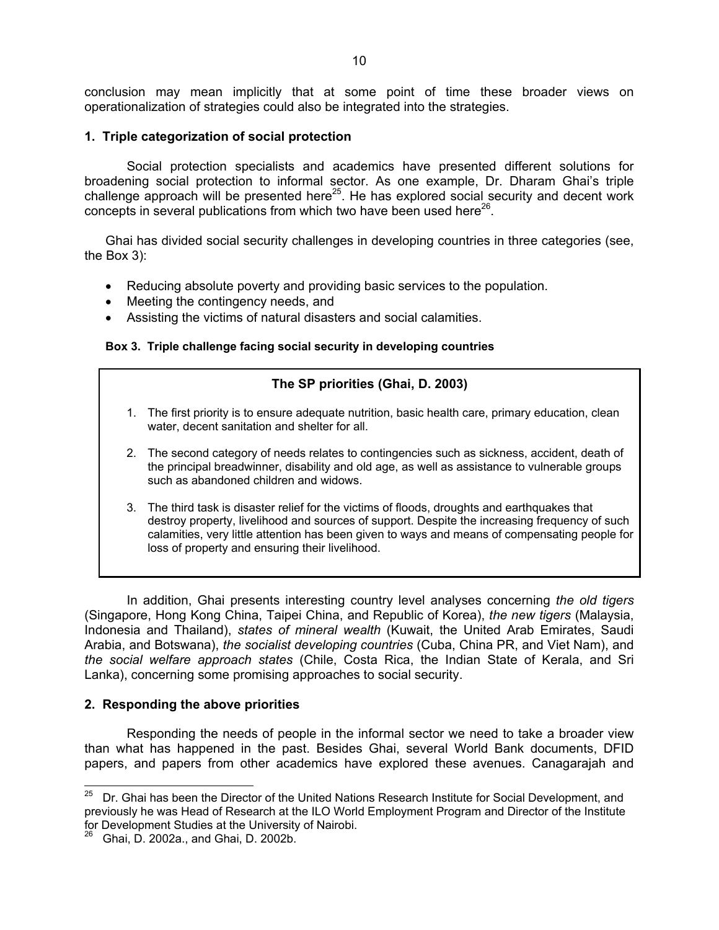conclusion may mean implicitly that at some point of time these broader views on operationalization of strategies could also be integrated into the strategies.

#### **1. Triple categorization of social protection**

 Social protection specialists and academics have presented different solutions for broadening social protection to informal sector. As one example, Dr. Dharam Ghai's triple challenge approach will be presented here<sup>25</sup>. He has explored social security and decent work concepts in several publications from which two have been used here<sup>26</sup>.

Ghai has divided social security challenges in developing countries in three categories (see, the Box 3):

- Reducing absolute poverty and providing basic services to the population.
- Meeting the contingency needs, and
- Assisting the victims of natural disasters and social calamities.

#### **Box 3. Triple challenge facing social security in developing countries**

#### **The SP priorities (Ghai, D. 2003)**

- 1. The first priority is to ensure adequate nutrition, basic health care, primary education, clean water, decent sanitation and shelter for all.
- 2. The second category of needs relates to contingencies such as sickness, accident, death of the principal breadwinner, disability and old age, as well as assistance to vulnerable groups such as abandoned children and widows.
- 3. The third task is disaster relief for the victims of floods, droughts and earthquakes that destroy property, livelihood and sources of support. Despite the increasing frequency of such calamities, very little attention has been given to ways and means of compensating people for loss of property and ensuring their livelihood.

 In addition, Ghai presents interesting country level analyses concerning *the old tigers* (Singapore, Hong Kong China, Taipei China, and Republic of Korea), *the new tigers* (Malaysia, Indonesia and Thailand), *states of mineral wealth* (Kuwait, the United Arab Emirates, Saudi Arabia, and Botswana), *the socialist developing countries* (Cuba, China PR, and Viet Nam), and *the social welfare approach states* (Chile, Costa Rica, the Indian State of Kerala, and Sri Lanka), concerning some promising approaches to social security.

#### **2. Responding the above priorities**

 Responding the needs of people in the informal sector we need to take a broader view than what has happened in the past. Besides Ghai, several World Bank documents, DFID papers, and papers from other academics have explored these avenues. Canagarajah and

<span id="page-9-0"></span><sup>25</sup> 25 Dr. Ghai has been the Director of the United Nations Research Institute for Social Development, and previously he was Head of Research at the ILO World Employment Program and Director of the Institute for Development Studies at the University of Nairobi.

<span id="page-9-1"></span><sup>26</sup> Ghai, D. 2002a., and Ghai, D. 2002b.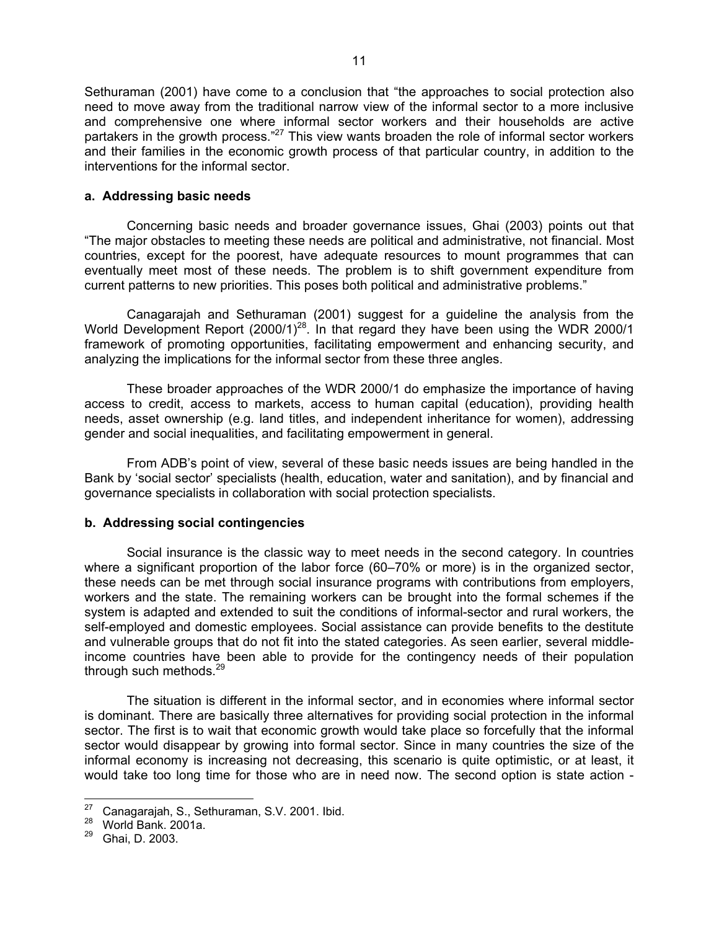Sethuraman (2001) have come to a conclusion that "the approaches to social protection also need to move away from the traditional narrow view of the informal sector to a more inclusive and comprehensive one where informal sector workers and their households are active partakers in the growth process."<sup>27</sup> This view wants broaden the role of informal sector workers and their families in the economic growth process of that particular country, in addition to the interventions for the informal sector.

#### **a. Addressing basic needs**

 Concerning basic needs and broader governance issues, Ghai (2003) points out that "The major obstacles to meeting these needs are political and administrative, not financial. Most countries, except for the poorest, have adequate resources to mount programmes that can eventually meet most of these needs. The problem is to shift government expenditure from current patterns to new priorities. This poses both political and administrative problems."

 Canagarajah and Sethuraman (2001) suggest for a guideline the analysis from the World Development Report (2000/1)<sup>28</sup>. In that regard they have been using the WDR 2000/1 framework of promoting opportunities, facilitating empowerment and enhancing security, and analyzing the implications for the informal sector from these three angles.

 These broader approaches of the WDR 2000/1 do emphasize the importance of having access to credit, access to markets, access to human capital (education), providing health needs, asset ownership (e.g. land titles, and independent inheritance for women), addressing gender and social inequalities, and facilitating empowerment in general.

 From ADB's point of view, several of these basic needs issues are being handled in the Bank by 'social sector' specialists (health, education, water and sanitation), and by financial and governance specialists in collaboration with social protection specialists.

## **b. Addressing social contingencies**

 Social insurance is the classic way to meet needs in the second category. In countries where a significant proportion of the labor force (60–70% or more) is in the organized sector, these needs can be met through social insurance programs with contributions from employers, workers and the state. The remaining workers can be brought into the formal schemes if the system is adapted and extended to suit the conditions of informal-sector and rural workers, the self-employed and domestic employees. Social assistance can provide benefits to the destitute and vulnerable groups that do not fit into the stated categories. As seen earlier, several middleincome countries have been able to provide for the contingency needs of their population through such methods.<sup>[29](#page-10-2)</sup>

 The situation is different in the informal sector, and in economies where informal sector is dominant. There are basically three alternatives for providing social protection in the informal sector. The first is to wait that economic growth would take place so forcefully that the informal sector would disappear by growing into formal sector. Since in many countries the size of the informal economy is increasing not decreasing, this scenario is quite optimistic, or at least, it would take too long time for those who are in need now. The second option is state action -

<span id="page-10-0"></span><sup>27</sup> <sup>27</sup> Canagarajah, S., Sethuraman, S.V. 2001. Ibid.<br><sup>28</sup> World Bank. 2001a.<br><sup>29</sup> Chai D. 2002.

<span id="page-10-1"></span>

<span id="page-10-2"></span><sup>29</sup> Ghai, D. 2003.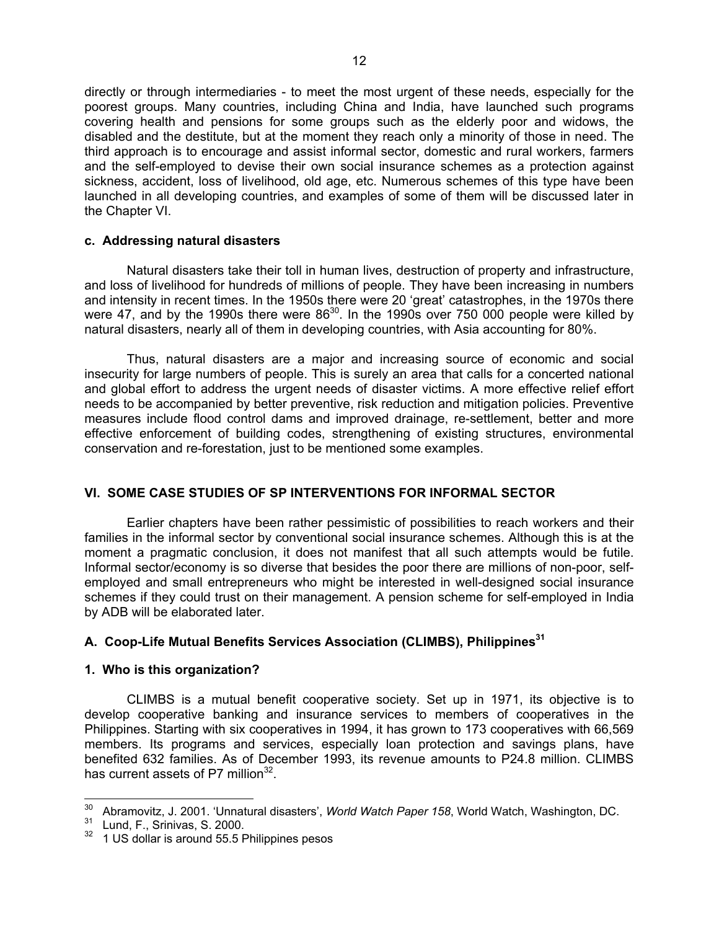directly or through intermediaries - to meet the most urgent of these needs, especially for the poorest groups. Many countries, including China and India, have launched such programs covering health and pensions for some groups such as the elderly poor and widows, the disabled and the destitute, but at the moment they reach only a minority of those in need. The third approach is to encourage and assist informal sector, domestic and rural workers, farmers and the self-employed to devise their own social insurance schemes as a protection against sickness, accident, loss of livelihood, old age, etc. Numerous schemes of this type have been launched in all developing countries, and examples of some of them will be discussed later in the Chapter VI.

#### **c. Addressing natural disasters**

Natural disasters take their toll in human lives, destruction of property and infrastructure, and loss of livelihood for hundreds of millions of people. They have been increasing in numbers and intensity in recent times. In the 1950s there were 20 'great' catastrophes, in the 1970s there were 47, and by the 1990s there were  $86^{30}$ . In the 1990s over 750 000 people were killed by natural disasters, nearly all of them in developing countries, with Asia accounting for 80%.

Thus, natural disasters are a major and increasing source of economic and social insecurity for large numbers of people. This is surely an area that calls for a concerted national and global effort to address the urgent needs of disaster victims. A more effective relief effort needs to be accompanied by better preventive, risk reduction and mitigation policies. Preventive measures include flood control dams and improved drainage, re-settlement, better and more effective enforcement of building codes, strengthening of existing structures, environmental conservation and re-forestation, just to be mentioned some examples.

## **VI. SOME CASE STUDIES OF SP INTERVENTIONS FOR INFORMAL SECTOR**

 Earlier chapters have been rather pessimistic of possibilities to reach workers and their families in the informal sector by conventional social insurance schemes. Although this is at the moment a pragmatic conclusion, it does not manifest that all such attempts would be futile. Informal sector/economy is so diverse that besides the poor there are millions of non-poor, selfemployed and small entrepreneurs who might be interested in well-designed social insurance schemes if they could trust on their management. A pension scheme for self-employed in India by ADB will be elaborated later.

#### **A. Coop-Life Mutual Benefits Services Association (CLIMBS), Philippines[31](#page-11-1)**

#### **1. Who is this organization?**

CLIMBS is a mutual benefit cooperative society. Set up in 1971, its objective is to develop cooperative banking and insurance services to members of cooperatives in the Philippines. Starting with six cooperatives in 1994, it has grown to 173 cooperatives with 66,569 members. Its programs and services, especially loan protection and savings plans, have benefited 632 families. As of December 1993, its revenue amounts to P24.8 million. CLIMBS has current assets of P7 million $32$ .

<span id="page-11-0"></span> <sup>30</sup> Abramovitz, J. 2001. 'Unnatural disasters', *World Watch Paper 158*, World Watch, Washington, DC.<br><sup>31</sup> Lund, F., Srinivas, S. 2000.

<span id="page-11-1"></span>

<span id="page-11-2"></span><sup>&</sup>lt;sup>32</sup> 1 US dollar is around 55.5 Philippines pesos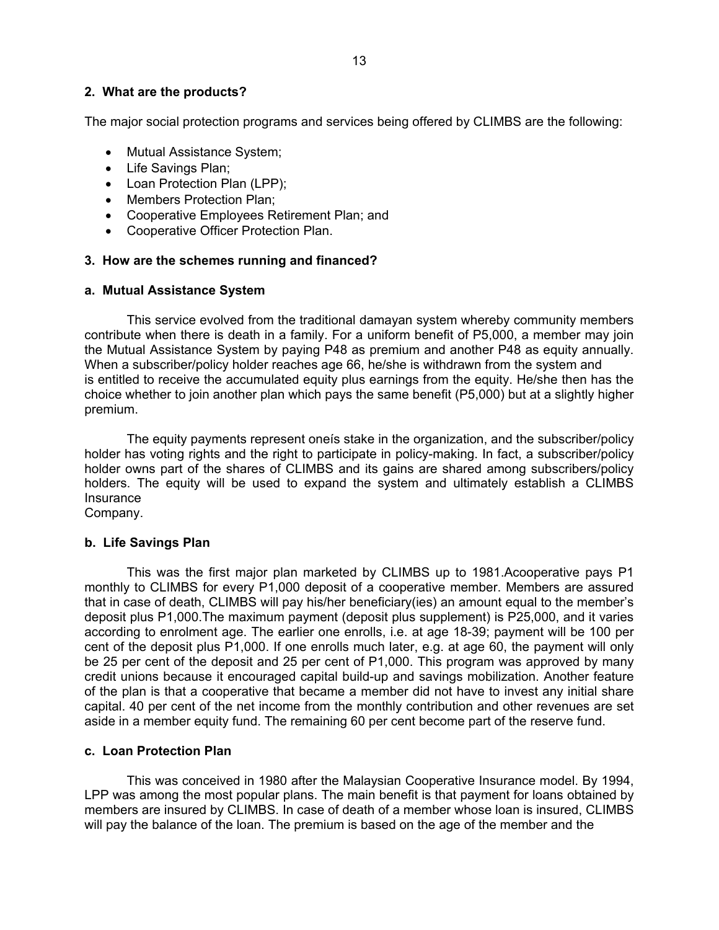The major social protection programs and services being offered by CLIMBS are the following:

- Mutual Assistance System;
- Life Savings Plan;
- Loan Protection Plan (LPP);
- Members Protection Plan;
- Cooperative Employees Retirement Plan; and
- Cooperative Officer Protection Plan.

## **3. How are the schemes running and financed?**

#### **a. Mutual Assistance System**

This service evolved from the traditional damayan system whereby community members contribute when there is death in a family. For a uniform benefit of P5,000, a member may join the Mutual Assistance System by paying P48 as premium and another P48 as equity annually. When a subscriber/policy holder reaches age 66, he/she is withdrawn from the system and is entitled to receive the accumulated equity plus earnings from the equity. He/she then has the choice whether to join another plan which pays the same benefit (P5,000) but at a slightly higher premium.

The equity payments represent oneís stake in the organization, and the subscriber/policy holder has voting rights and the right to participate in policy-making. In fact, a subscriber/policy holder owns part of the shares of CLIMBS and its gains are shared among subscribers/policy holders. The equity will be used to expand the system and ultimately establish a CLIMBS Insurance

Company.

## **b. Life Savings Plan**

This was the first major plan marketed by CLIMBS up to 1981.Acooperative pays P1 monthly to CLIMBS for every P1,000 deposit of a cooperative member. Members are assured that in case of death, CLIMBS will pay his/her beneficiary(ies) an amount equal to the member's deposit plus P1,000.The maximum payment (deposit plus supplement) is P25,000, and it varies according to enrolment age. The earlier one enrolls, i.e. at age 18-39; payment will be 100 per cent of the deposit plus P1,000. If one enrolls much later, e.g. at age 60, the payment will only be 25 per cent of the deposit and 25 per cent of P1,000. This program was approved by many credit unions because it encouraged capital build-up and savings mobilization. Another feature of the plan is that a cooperative that became a member did not have to invest any initial share capital. 40 per cent of the net income from the monthly contribution and other revenues are set aside in a member equity fund. The remaining 60 per cent become part of the reserve fund.

#### **c. Loan Protection Plan**

This was conceived in 1980 after the Malaysian Cooperative Insurance model. By 1994, LPP was among the most popular plans. The main benefit is that payment for loans obtained by members are insured by CLIMBS. In case of death of a member whose loan is insured, CLIMBS will pay the balance of the loan. The premium is based on the age of the member and the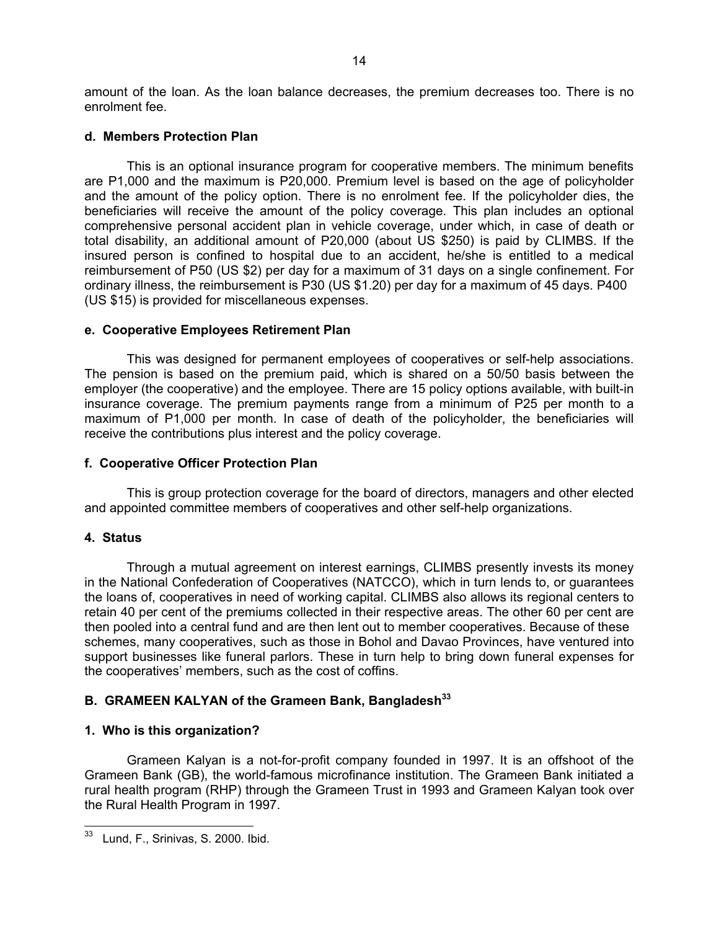amount of the loan. As the loan balance decreases, the premium decreases too. There is no enrolment fee.

#### **d. Members Protection Plan**

This is an optional insurance program for cooperative members. The minimum benefits are P1,000 and the maximum is P20,000. Premium level is based on the age of policyholder and the amount of the policy option. There is no enrolment fee. If the policyholder dies, the beneficiaries will receive the amount of the policy coverage. This plan includes an optional comprehensive personal accident plan in vehicle coverage, under which, in case of death or total disability, an additional amount of P20,000 (about US \$250) is paid by CLIMBS. If the insured person is confined to hospital due to an accident, he/she is entitled to a medical reimbursement of P50 (US \$2) per day for a maximum of 31 days on a single confinement. For ordinary illness, the reimbursement is P30 (US \$1.20) per day for a maximum of 45 days. P400 (US \$15) is provided for miscellaneous expenses.

#### **e. Cooperative Employees Retirement Plan**

This was designed for permanent employees of cooperatives or self-help associations. The pension is based on the premium paid, which is shared on a 50/50 basis between the employer (the cooperative) and the employee. There are 15 policy options available, with built-in insurance coverage. The premium payments range from a minimum of P25 per month to a maximum of P1,000 per month. In case of death of the policyholder, the beneficiaries will receive the contributions plus interest and the policy coverage.

#### **f. Cooperative Officer Protection Plan**

This is group protection coverage for the board of directors, managers and other elected and appointed committee members of cooperatives and other self-help organizations.

#### **4. Status**

Through a mutual agreement on interest earnings, CLIMBS presently invests its money in the National Confederation of Cooperatives (NATCCO), which in turn lends to, or guarantees the loans of, cooperatives in need of working capital. CLIMBS also allows its regional centers to retain 40 per cent of the premiums collected in their respective areas. The other 60 per cent are then pooled into a central fund and are then lent out to member cooperatives. Because of these schemes, many cooperatives, such as those in Bohol and Davao Provinces, have ventured into support businesses like funeral parlors. These in turn help to bring down funeral expenses for the cooperatives' members, such as the cost of coffins.

## **B. GRAMEEN KALYAN of the Grameen Bank, Bangladesh[33](#page-13-0)**

#### **1. Who is this organization?**

Grameen Kalyan is a not-for-profit company founded in 1997. It is an offshoot of the Grameen Bank (GB), the world-famous microfinance institution. The Grameen Bank initiated a rural health program (RHP) through the Grameen Trust in 1993 and Grameen Kalyan took over the Rural Health Program in 1997.

<span id="page-13-0"></span> Lund, F., Srinivas, S. 2000. Ibid.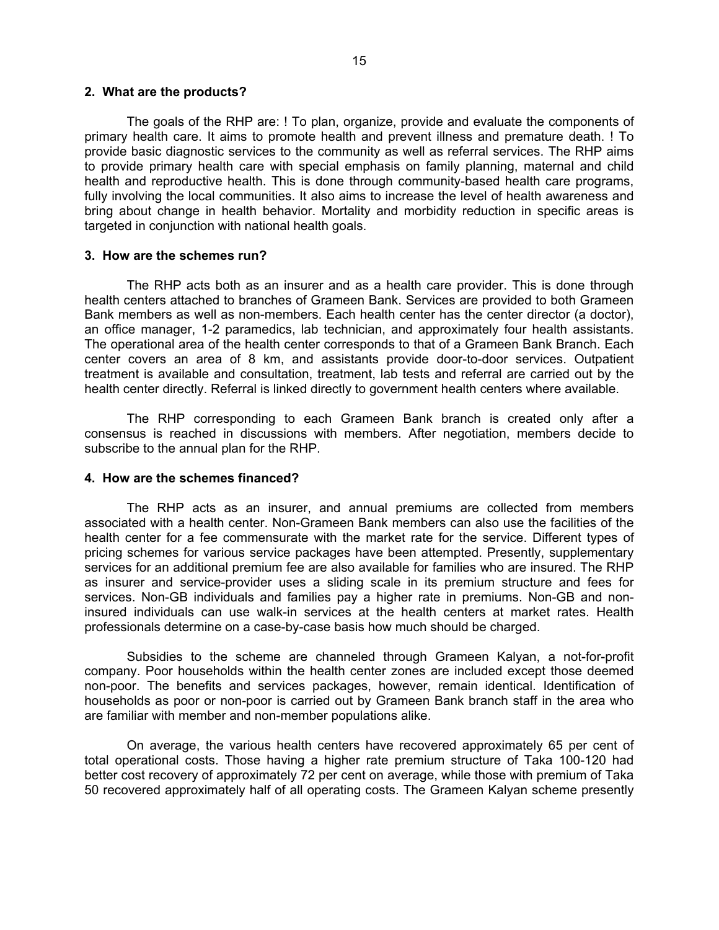#### **2. What are the products?**

The goals of the RHP are: ! To plan, organize, provide and evaluate the components of primary health care. It aims to promote health and prevent illness and premature death. ! To provide basic diagnostic services to the community as well as referral services. The RHP aims to provide primary health care with special emphasis on family planning, maternal and child health and reproductive health. This is done through community-based health care programs, fully involving the local communities. It also aims to increase the level of health awareness and bring about change in health behavior. Mortality and morbidity reduction in specific areas is targeted in conjunction with national health goals.

#### **3. How are the schemes run?**

The RHP acts both as an insurer and as a health care provider. This is done through health centers attached to branches of Grameen Bank. Services are provided to both Grameen Bank members as well as non-members. Each health center has the center director (a doctor), an office manager, 1-2 paramedics, lab technician, and approximately four health assistants. The operational area of the health center corresponds to that of a Grameen Bank Branch. Each center covers an area of 8 km, and assistants provide door-to-door services. Outpatient treatment is available and consultation, treatment, lab tests and referral are carried out by the health center directly. Referral is linked directly to government health centers where available.

The RHP corresponding to each Grameen Bank branch is created only after a consensus is reached in discussions with members. After negotiation, members decide to subscribe to the annual plan for the RHP.

#### **4. How are the schemes financed?**

The RHP acts as an insurer, and annual premiums are collected from members associated with a health center. Non-Grameen Bank members can also use the facilities of the health center for a fee commensurate with the market rate for the service. Different types of pricing schemes for various service packages have been attempted. Presently, supplementary services for an additional premium fee are also available for families who are insured. The RHP as insurer and service-provider uses a sliding scale in its premium structure and fees for services. Non-GB individuals and families pay a higher rate in premiums. Non-GB and noninsured individuals can use walk-in services at the health centers at market rates. Health professionals determine on a case-by-case basis how much should be charged.

Subsidies to the scheme are channeled through Grameen Kalyan, a not-for-profit company. Poor households within the health center zones are included except those deemed non-poor. The benefits and services packages, however, remain identical. Identification of households as poor or non-poor is carried out by Grameen Bank branch staff in the area who are familiar with member and non-member populations alike.

On average, the various health centers have recovered approximately 65 per cent of total operational costs. Those having a higher rate premium structure of Taka 100-120 had better cost recovery of approximately 72 per cent on average, while those with premium of Taka 50 recovered approximately half of all operating costs. The Grameen Kalyan scheme presently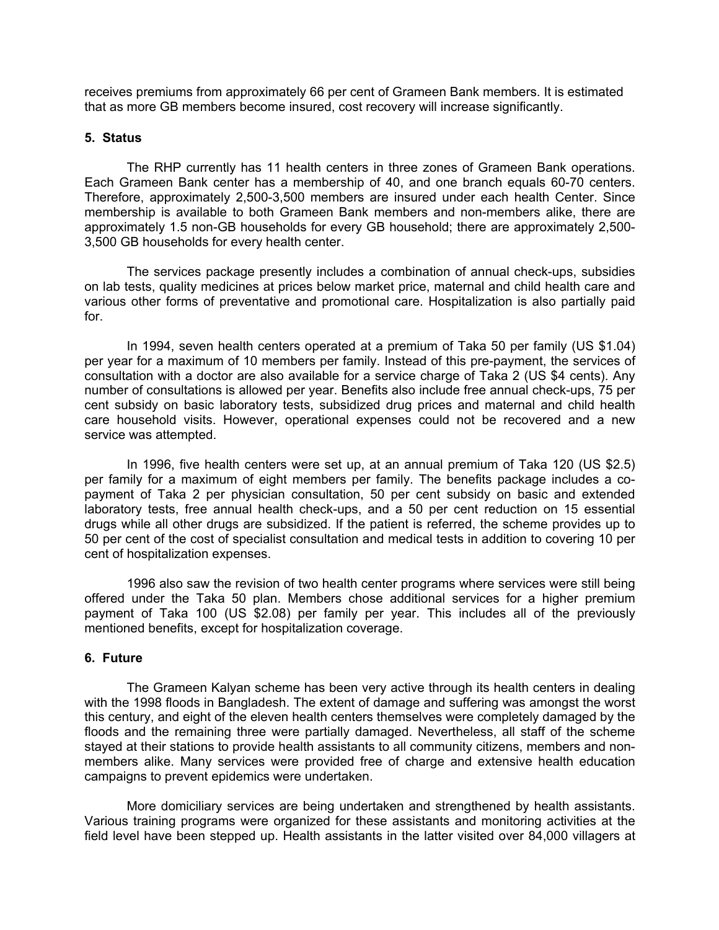receives premiums from approximately 66 per cent of Grameen Bank members. It is estimated that as more GB members become insured, cost recovery will increase significantly.

#### **5. Status**

The RHP currently has 11 health centers in three zones of Grameen Bank operations. Each Grameen Bank center has a membership of 40, and one branch equals 60-70 centers. Therefore, approximately 2,500-3,500 members are insured under each health Center. Since membership is available to both Grameen Bank members and non-members alike, there are approximately 1.5 non-GB households for every GB household; there are approximately 2,500- 3,500 GB households for every health center.

The services package presently includes a combination of annual check-ups, subsidies on lab tests, quality medicines at prices below market price, maternal and child health care and various other forms of preventative and promotional care. Hospitalization is also partially paid for.

In 1994, seven health centers operated at a premium of Taka 50 per family (US \$1.04) per year for a maximum of 10 members per family. Instead of this pre-payment, the services of consultation with a doctor are also available for a service charge of Taka 2 (US \$4 cents). Any number of consultations is allowed per year. Benefits also include free annual check-ups, 75 per cent subsidy on basic laboratory tests, subsidized drug prices and maternal and child health care household visits. However, operational expenses could not be recovered and a new service was attempted.

In 1996, five health centers were set up, at an annual premium of Taka 120 (US \$2.5) per family for a maximum of eight members per family. The benefits package includes a copayment of Taka 2 per physician consultation, 50 per cent subsidy on basic and extended laboratory tests, free annual health check-ups, and a 50 per cent reduction on 15 essential drugs while all other drugs are subsidized. If the patient is referred, the scheme provides up to 50 per cent of the cost of specialist consultation and medical tests in addition to covering 10 per cent of hospitalization expenses.

1996 also saw the revision of two health center programs where services were still being offered under the Taka 50 plan. Members chose additional services for a higher premium payment of Taka 100 (US \$2.08) per family per year. This includes all of the previously mentioned benefits, except for hospitalization coverage.

#### **6. Future**

The Grameen Kalyan scheme has been very active through its health centers in dealing with the 1998 floods in Bangladesh. The extent of damage and suffering was amongst the worst this century, and eight of the eleven health centers themselves were completely damaged by the floods and the remaining three were partially damaged. Nevertheless, all staff of the scheme stayed at their stations to provide health assistants to all community citizens, members and nonmembers alike. Many services were provided free of charge and extensive health education campaigns to prevent epidemics were undertaken.

More domiciliary services are being undertaken and strengthened by health assistants. Various training programs were organized for these assistants and monitoring activities at the field level have been stepped up. Health assistants in the latter visited over 84,000 villagers at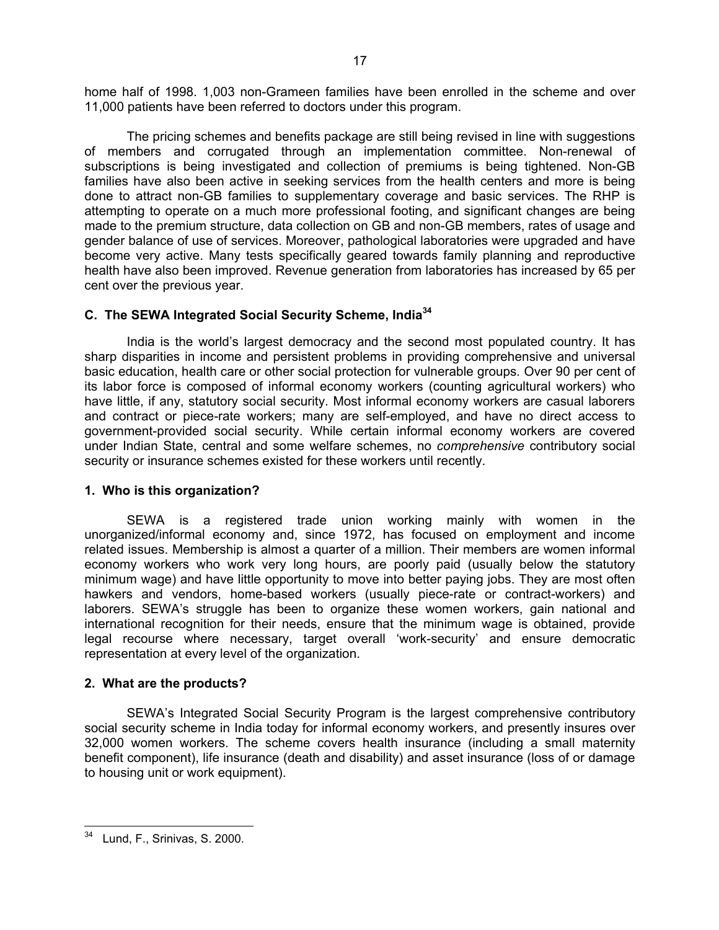home half of 1998. 1,003 non-Grameen families have been enrolled in the scheme and over 11,000 patients have been referred to doctors under this program.

The pricing schemes and benefits package are still being revised in line with suggestions of members and corrugated through an implementation committee. Non-renewal of subscriptions is being investigated and collection of premiums is being tightened. Non-GB families have also been active in seeking services from the health centers and more is being done to attract non-GB families to supplementary coverage and basic services. The RHP is attempting to operate on a much more professional footing, and significant changes are being made to the premium structure, data collection on GB and non-GB members, rates of usage and gender balance of use of services. Moreover, pathological laboratories were upgraded and have become very active. Many tests specifically geared towards family planning and reproductive health have also been improved. Revenue generation from laboratories has increased by 65 per cent over the previous year.

## **C. The SEWA Integrated Social Security Scheme, India[34](#page-16-0)**

India is the world's largest democracy and the second most populated country. It has sharp disparities in income and persistent problems in providing comprehensive and universal basic education, health care or other social protection for vulnerable groups*.* Over 90 per cent of its labor force is composed of informal economy workers (counting agricultural workers) who have little, if any, statutory social security. Most informal economy workers are casual laborers and contract or piece-rate workers; many are self-employed, and have no direct access to government-provided social security. While certain informal economy workers are covered under Indian State, central and some welfare schemes, no *comprehensive* contributory social security or insurance schemes existed for these workers until recently.

## **1. Who is this organization?**

SEWA is a registered trade union working mainly with women in the unorganized/informal economy and, since 1972, has focused on employment and income related issues. Membership is almost a quarter of a million. Their members are women informal economy workers who work very long hours, are poorly paid (usually below the statutory minimum wage) and have little opportunity to move into better paying jobs. They are most often hawkers and vendors, home-based workers (usually piece-rate or contract-workers) and laborers. SEWA's struggle has been to organize these women workers, gain national and international recognition for their needs, ensure that the minimum wage is obtained, provide legal recourse where necessary, target overall 'work-security' and ensure democratic representation at every level of the organization.

## **2. What are the products?**

SEWA's Integrated Social Security Program is the largest comprehensive contributory social security scheme in India today for informal economy workers, and presently insures over 32,000 women workers. The scheme covers health insurance (including a small maternity benefit component), life insurance (death and disability) and asset insurance (loss of or damage to housing unit or work equipment).

<span id="page-16-0"></span> Lund, F., Srinivas, S. 2000.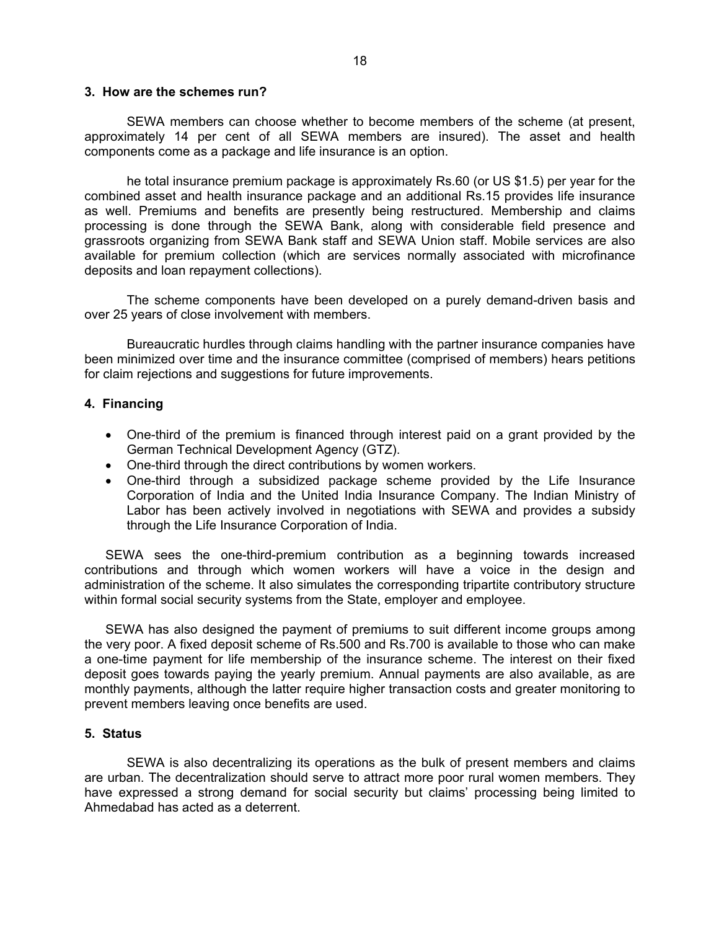#### **3. How are the schemes run?**

SEWA members can choose whether to become members of the scheme (at present, approximately 14 per cent of all SEWA members are insured). The asset and health components come as a package and life insurance is an option.

he total insurance premium package is approximately Rs.60 (or US \$1.5) per year for the combined asset and health insurance package and an additional Rs.15 provides life insurance as well. Premiums and benefits are presently being restructured. Membership and claims processing is done through the SEWA Bank, along with considerable field presence and grassroots organizing from SEWA Bank staff and SEWA Union staff. Mobile services are also available for premium collection (which are services normally associated with microfinance deposits and loan repayment collections).

The scheme components have been developed on a purely demand-driven basis and over 25 years of close involvement with members.

Bureaucratic hurdles through claims handling with the partner insurance companies have been minimized over time and the insurance committee (comprised of members) hears petitions for claim rejections and suggestions for future improvements.

#### **4. Financing**

- One-third of the premium is financed through interest paid on a grant provided by the German Technical Development Agency (GTZ).
- One-third through the direct contributions by women workers.
- One-third through a subsidized package scheme provided by the Life Insurance Corporation of India and the United India Insurance Company. The Indian Ministry of Labor has been actively involved in negotiations with SEWA and provides a subsidy through the Life Insurance Corporation of India.

SEWA sees the one-third-premium contribution as a beginning towards increased contributions and through which women workers will have a voice in the design and administration of the scheme. It also simulates the corresponding tripartite contributory structure within formal social security systems from the State, employer and employee.

SEWA has also designed the payment of premiums to suit different income groups among the very poor. A fixed deposit scheme of Rs.500 and Rs.700 is available to those who can make a one-time payment for life membership of the insurance scheme. The interest on their fixed deposit goes towards paying the yearly premium. Annual payments are also available, as are monthly payments, although the latter require higher transaction costs and greater monitoring to prevent members leaving once benefits are used.

#### **5. Status**

SEWA is also decentralizing its operations as the bulk of present members and claims are urban. The decentralization should serve to attract more poor rural women members. They have expressed a strong demand for social security but claims' processing being limited to Ahmedabad has acted as a deterrent.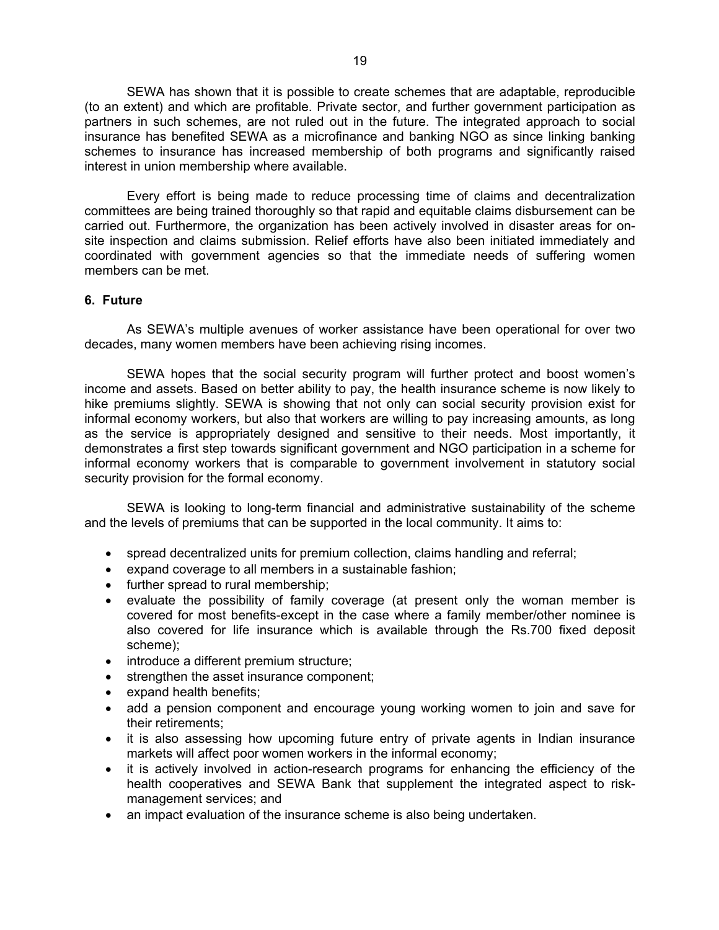SEWA has shown that it is possible to create schemes that are adaptable, reproducible (to an extent) and which are profitable. Private sector, and further government participation as partners in such schemes, are not ruled out in the future. The integrated approach to social insurance has benefited SEWA as a microfinance and banking NGO as since linking banking schemes to insurance has increased membership of both programs and significantly raised interest in union membership where available.

Every effort is being made to reduce processing time of claims and decentralization committees are being trained thoroughly so that rapid and equitable claims disbursement can be carried out. Furthermore, the organization has been actively involved in disaster areas for onsite inspection and claims submission. Relief efforts have also been initiated immediately and coordinated with government agencies so that the immediate needs of suffering women members can be met.

#### **6. Future**

As SEWA's multiple avenues of worker assistance have been operational for over two decades, many women members have been achieving rising incomes.

SEWA hopes that the social security program will further protect and boost women's income and assets. Based on better ability to pay, the health insurance scheme is now likely to hike premiums slightly. SEWA is showing that not only can social security provision exist for informal economy workers, but also that workers are willing to pay increasing amounts, as long as the service is appropriately designed and sensitive to their needs. Most importantly, it demonstrates a first step towards significant government and NGO participation in a scheme for informal economy workers that is comparable to government involvement in statutory social security provision for the formal economy.

SEWA is looking to long-term financial and administrative sustainability of the scheme and the levels of premiums that can be supported in the local community. It aims to:

- spread decentralized units for premium collection, claims handling and referral;
- expand coverage to all members in a sustainable fashion;
- further spread to rural membership;
- evaluate the possibility of family coverage (at present only the woman member is covered for most benefits-except in the case where a family member/other nominee is also covered for life insurance which is available through the Rs.700 fixed deposit scheme);
- introduce a different premium structure;
- strengthen the asset insurance component;
- expand health benefits;
- add a pension component and encourage young working women to join and save for their retirements;
- it is also assessing how upcoming future entry of private agents in Indian insurance markets will affect poor women workers in the informal economy;
- it is actively involved in action-research programs for enhancing the efficiency of the health cooperatives and SEWA Bank that supplement the integrated aspect to riskmanagement services; and
- an impact evaluation of the insurance scheme is also being undertaken.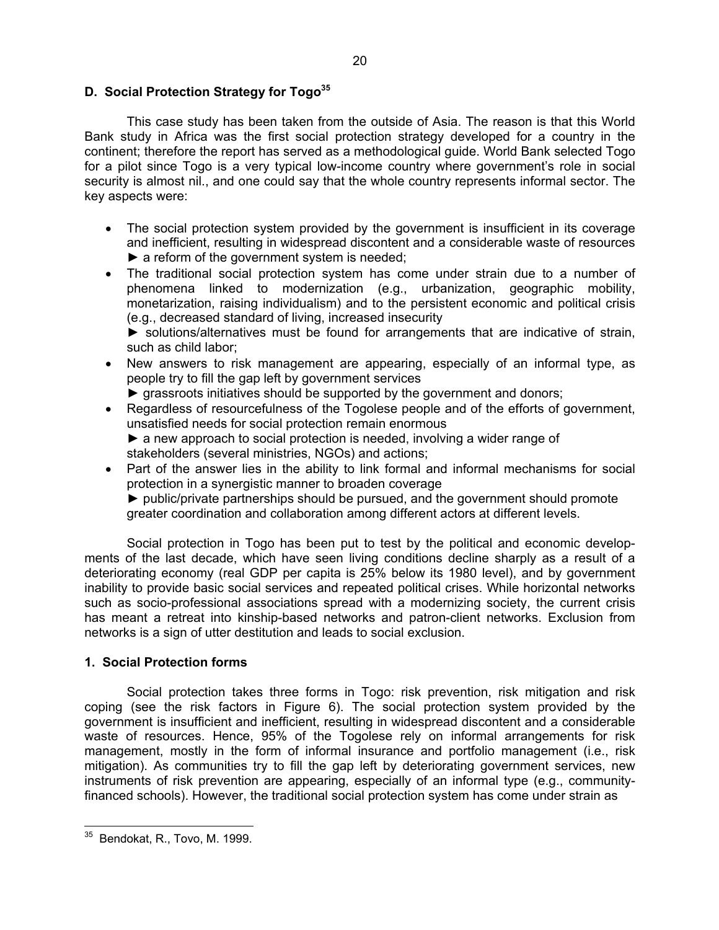#### **D. Social Protection Strategy for Togo[35](#page-19-0)**

 This case study has been taken from the outside of Asia. The reason is that this World Bank study in Africa was the first social protection strategy developed for a country in the continent; therefore the report has served as a methodological guide. World Bank selected Togo for a pilot since Togo is a very typical low-income country where government's role in social security is almost nil., and one could say that the whole country represents informal sector. The key aspects were:

- The social protection system provided by the government is insufficient in its coverage and inefficient, resulting in widespread discontent and a considerable waste of resources ► a reform of the government system is needed;
- The traditional social protection system has come under strain due to a number of phenomena linked to modernization (e.g., urbanization, geographic mobility, monetarization, raising individualism) and to the persistent economic and political crisis (e.g., decreased standard of living, increased insecurity

► solutions/alternatives must be found for arrangements that are indicative of strain, such as child labor;

- New answers to risk management are appearing, especially of an informal type, as people try to fill the gap left by government services
	- ► grassroots initiatives should be supported by the government and donors;
- Regardless of resourcefulness of the Togolese people and of the efforts of government. unsatisfied needs for social protection remain enormous ► a new approach to social protection is needed, involving a wider range of stakeholders (several ministries, NGOs) and actions;
- Part of the answer lies in the ability to link formal and informal mechanisms for social protection in a synergistic manner to broaden coverage

► public/private partnerships should be pursued, and the government should promote greater coordination and collaboration among different actors at different levels.

Social protection in Togo has been put to test by the political and economic developments of the last decade, which have seen living conditions decline sharply as a result of a deteriorating economy (real GDP per capita is 25% below its 1980 level), and by government inability to provide basic social services and repeated political crises. While horizontal networks such as socio-professional associations spread with a modernizing society, the current crisis has meant a retreat into kinship-based networks and patron-client networks. Exclusion from networks is a sign of utter destitution and leads to social exclusion.

## **1. Social Protection forms**

Social protection takes three forms in Togo: risk prevention, risk mitigation and risk coping (see the risk factors in Figure 6). The social protection system provided by the government is insufficient and inefficient, resulting in widespread discontent and a considerable waste of resources. Hence, 95% of the Togolese rely on informal arrangements for risk management, mostly in the form of informal insurance and portfolio management (i.e., risk mitigation). As communities try to fill the gap left by deteriorating government services, new instruments of risk prevention are appearing, especially of an informal type (e.g., communityfinanced schools). However, the traditional social protection system has come under strain as

<span id="page-19-0"></span> Bendokat, R., Tovo, M. 1999.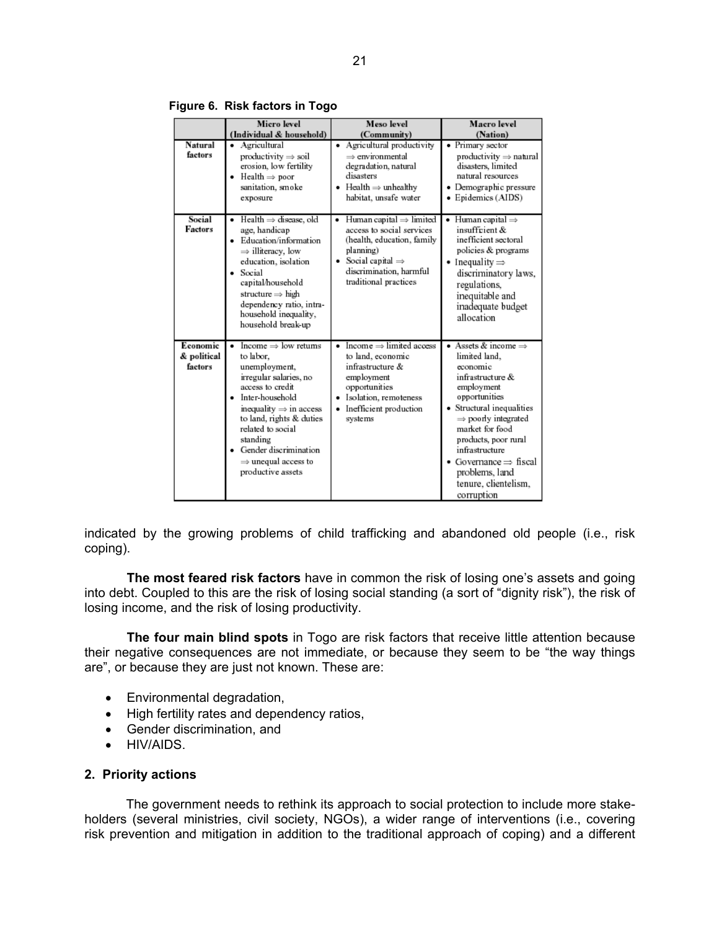|                                    | Micro level<br>(Individual & household)                                                                                                                                                                                                                                                                                               | Meso level<br>(Community)                                                                                                                                                                            | Macro level<br>(Nation)                                                                                                                                                                                                                                                                                                       |
|------------------------------------|---------------------------------------------------------------------------------------------------------------------------------------------------------------------------------------------------------------------------------------------------------------------------------------------------------------------------------------|------------------------------------------------------------------------------------------------------------------------------------------------------------------------------------------------------|-------------------------------------------------------------------------------------------------------------------------------------------------------------------------------------------------------------------------------------------------------------------------------------------------------------------------------|
| Natural<br>factors                 | Agricultural<br>$productivity \Rightarrow soil$<br>erosion, low fertility<br>$Health \Rightarrow poor$<br>sanitation, smoke<br>exposure                                                                                                                                                                                               | Agricultural productivity<br>٠<br>$\Rightarrow$ environmental<br>degradation, natural<br>disasters<br>• Health $\Rightarrow$ unhealthy<br>habitat, unsafe water                                      | • Primary sector<br>$productivity \Rightarrow natural$<br>disasters, limited<br>natural resources<br>• Demographic pressure<br>• Epidemics (AIDS)                                                                                                                                                                             |
| Social<br>Factors                  | $Health \Rightarrow disease, old$<br>٠<br>age, handicap<br>Education/information<br>$\bullet$<br>$\Rightarrow$ illiteracy, low<br>education, isolation<br>Social<br>capital/household<br>structure $\Rightarrow$ high<br>dependency ratio, intra-<br>household inequality,<br>household break-up                                      | Human capital $\Rightarrow$ limited<br>٠<br>access to social services<br>(health, education, family<br>planning)<br>Social capital $\Rightarrow$<br>discrimination, harmful<br>traditional practices | Human capital $\Rightarrow$<br>٠<br>insufficient &<br>inefficient sectoral<br>policies & programs<br>• Inequality $\Rightarrow$<br>discriminatory laws,<br>regulations,<br>inequitable and<br>inadequate budget<br>allocation                                                                                                 |
| Economic<br>& political<br>factors | Income $\Rightarrow$ low returns<br>$\blacksquare$<br>to labor.<br>unemployment,<br>irregular salaries, no<br>access to credit<br>Inter-household<br>inequality $\Rightarrow$ in access<br>to land, rights & duties<br>related to social<br>standing<br>Gender discrimination<br>$\Rightarrow$ unequal access to<br>productive assets | Income $\Rightarrow$ limited access<br>٠<br>to land, economic<br>infrastructure &<br>employment<br>opportunities<br>Isolation, remoteness<br>Inefficient production<br>systems                       | • Assets & income $\Rightarrow$<br>limited land,<br>economic<br>infrastructure &<br>employment<br>opportunities<br>• Structural inequalities<br>$\Rightarrow$ poorly integrated<br>market for food<br>products, poor rural<br>infrastructure<br>• Governance ⇒ fiscal<br>problems, land<br>tenure, clientelism,<br>corruption |

**Figure 6. Risk factors in Togo** 

indicated by the growing problems of child trafficking and abandoned old people (i.e., risk coping).

**The most feared risk factors** have in common the risk of losing one's assets and going into debt. Coupled to this are the risk of losing social standing (a sort of "dignity risk"), the risk of losing income, and the risk of losing productivity.

**The four main blind spots** in Togo are risk factors that receive little attention because their negative consequences are not immediate, or because they seem to be "the way things are", or because they are just not known. These are:

- Environmental degradation,
- High fertility rates and dependency ratios,
- Gender discrimination, and
- HIV/AIDS.

#### **2. Priority actions**

The government needs to rethink its approach to social protection to include more stakeholders (several ministries, civil society, NGOs), a wider range of interventions (i.e., covering risk prevention and mitigation in addition to the traditional approach of coping) and a different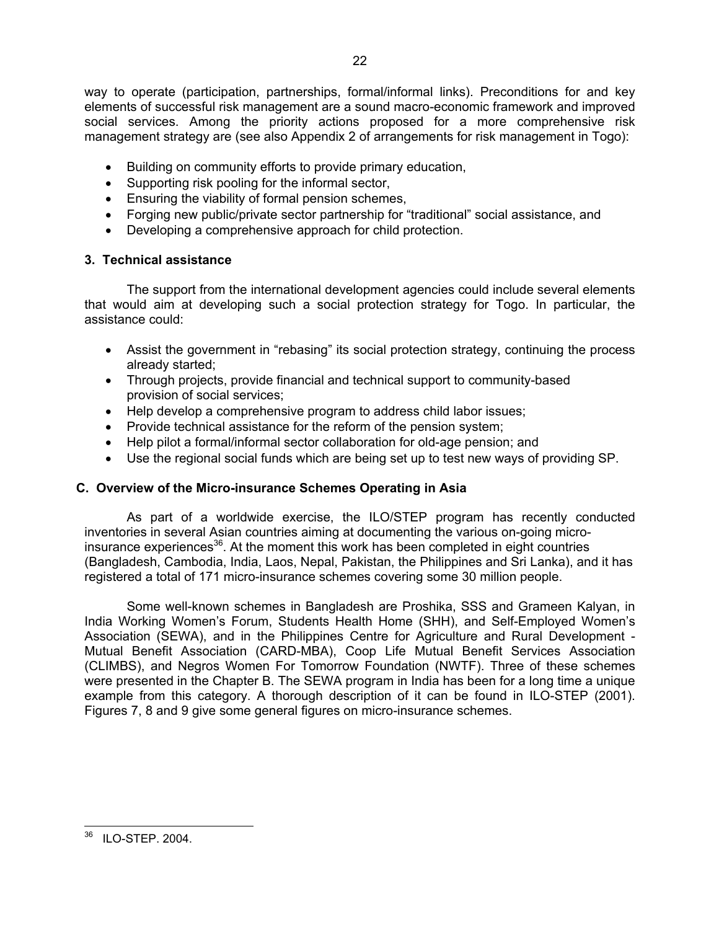way to operate (participation, partnerships, formal/informal links). Preconditions for and key elements of successful risk management are a sound macro-economic framework and improved social services. Among the priority actions proposed for a more comprehensive risk management strategy are (see also Appendix 2 of arrangements for risk management in Togo):

- Building on community efforts to provide primary education,
- Supporting risk pooling for the informal sector,
- Ensuring the viability of formal pension schemes,
- Forging new public/private sector partnership for "traditional" social assistance, and
- Developing a comprehensive approach for child protection.

## **3. Technical assistance**

The support from the international development agencies could include several elements that would aim at developing such a social protection strategy for Togo. In particular, the assistance could:

- Assist the government in "rebasing" its social protection strategy, continuing the process already started;
- Through projects, provide financial and technical support to community-based provision of social services;
- Help develop a comprehensive program to address child labor issues;
- Provide technical assistance for the reform of the pension system;
- Help pilot a formal/informal sector collaboration for old-age pension; and
- Use the regional social funds which are being set up to test new ways of providing SP.

## **C. Overview of the Micro-insurance Schemes Operating in Asia**

As part of a worldwide exercise, the ILO/STEP program has recently conducted inventories in several Asian countries aiming at documenting the various on-going microinsurance experiences<sup>36</sup>. At the moment this work has been completed in eight countries (Bangladesh, Cambodia, India, Laos, Nepal, Pakistan, the Philippines and Sri Lanka), and it has registered a total of 171 micro-insurance schemes covering some 30 million people.

Some well-known schemes in Bangladesh are Proshika, SSS and Grameen Kalyan, in India Working Women's Forum, Students Health Home (SHH), and Self-Employed Women's Association (SEWA), and in the Philippines Centre for Agriculture and Rural Development - Mutual Benefit Association (CARD-MBA), Coop Life Mutual Benefit Services Association (CLIMBS), and Negros Women For Tomorrow Foundation (NWTF). Three of these schemes were presented in the Chapter B. The SEWA program in India has been for a long time a unique example from this category. A thorough description of it can be found in ILO-STEP (2001). Figures 7, 8 and 9 give some general figures on micro-insurance schemes.

<span id="page-21-0"></span>  $36$  ILO-STEP. 2004.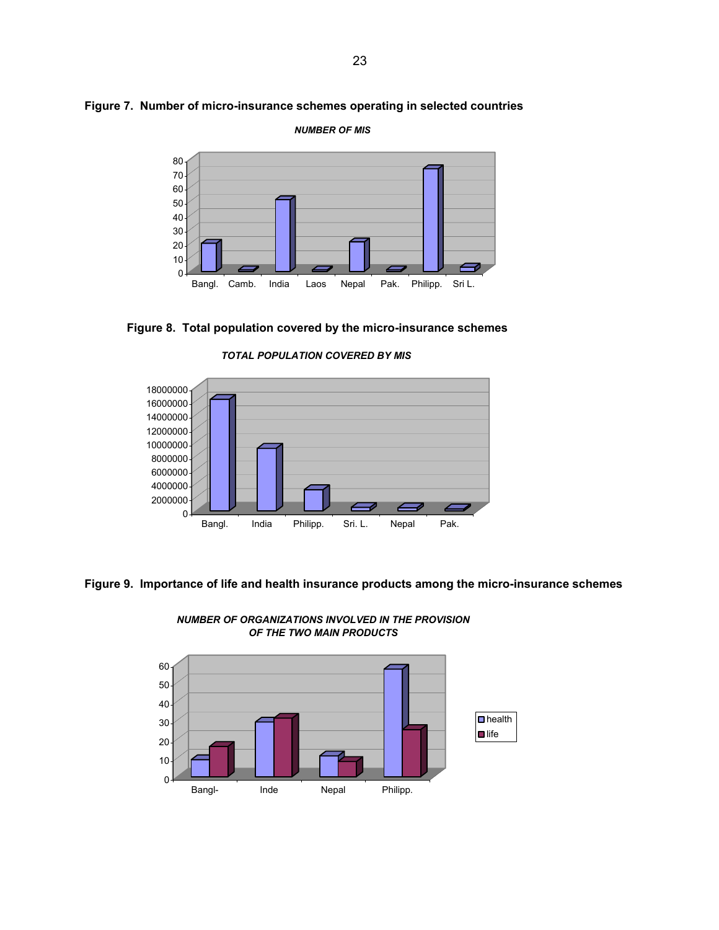



*NUMBER OF MIS*

**Figure 8. Total population covered by the micro-insurance schemes** 

*TOTAL POPULATION COVERED BY MIS*



**Figure 9. Importance of life and health insurance products among the micro-insurance schemes**



*NUMBER OF ORGANIZATIONS INVOLVED IN THE PROVISION OF THE TWO MAIN PRODUCTS*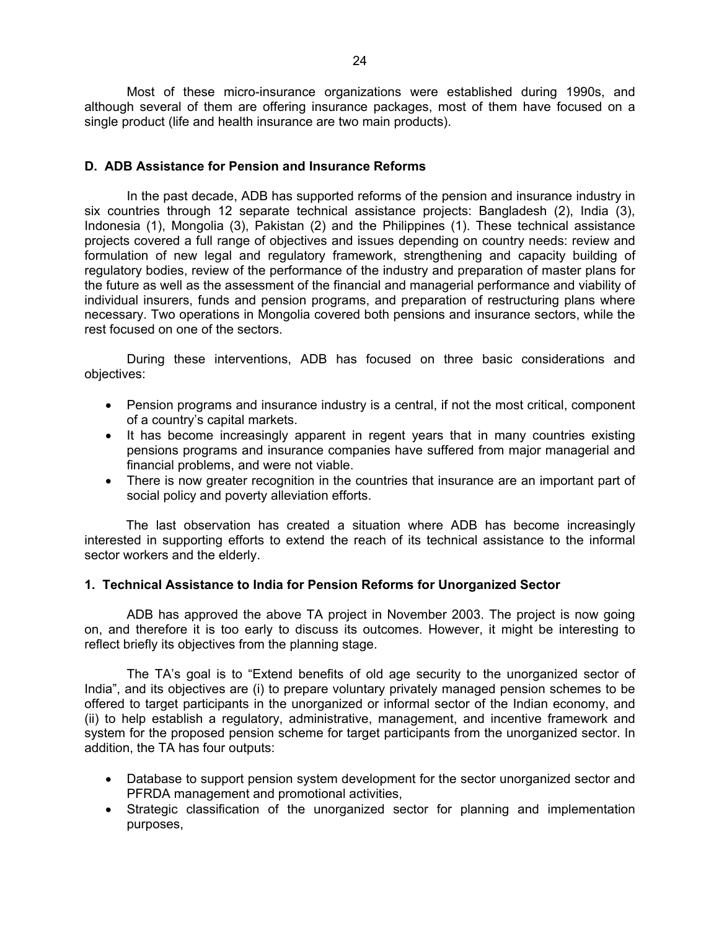Most of these micro-insurance organizations were established during 1990s, and although several of them are offering insurance packages, most of them have focused on a single product (life and health insurance are two main products).

#### **D. ADB Assistance for Pension and Insurance Reforms**

 In the past decade, ADB has supported reforms of the pension and insurance industry in six countries through 12 separate technical assistance projects: Bangladesh (2), India (3), Indonesia (1), Mongolia (3), Pakistan (2) and the Philippines (1). These technical assistance projects covered a full range of objectives and issues depending on country needs: review and formulation of new legal and regulatory framework, strengthening and capacity building of regulatory bodies, review of the performance of the industry and preparation of master plans for the future as well as the assessment of the financial and managerial performance and viability of individual insurers, funds and pension programs, and preparation of restructuring plans where necessary. Two operations in Mongolia covered both pensions and insurance sectors, while the rest focused on one of the sectors.

 During these interventions, ADB has focused on three basic considerations and objectives:

- Pension programs and insurance industry is a central, if not the most critical, component of a country's capital markets.
- It has become increasingly apparent in regent years that in many countries existing pensions programs and insurance companies have suffered from major managerial and financial problems, and were not viable.
- There is now greater recognition in the countries that insurance are an important part of social policy and poverty alleviation efforts.

The last observation has created a situation where ADB has become increasingly interested in supporting efforts to extend the reach of its technical assistance to the informal sector workers and the elderly.

## **1. Technical Assistance to India for Pension Reforms for Unorganized Sector**

 ADB has approved the above TA project in November 2003. The project is now going on, and therefore it is too early to discuss its outcomes. However, it might be interesting to reflect briefly its objectives from the planning stage.

 The TA's goal is to "Extend benefits of old age security to the unorganized sector of India", and its objectives are (i) to prepare voluntary privately managed pension schemes to be offered to target participants in the unorganized or informal sector of the Indian economy, and (ii) to help establish a regulatory, administrative, management, and incentive framework and system for the proposed pension scheme for target participants from the unorganized sector. In addition, the TA has four outputs:

- Database to support pension system development for the sector unorganized sector and PFRDA management and promotional activities,
- Strategic classification of the unorganized sector for planning and implementation purposes,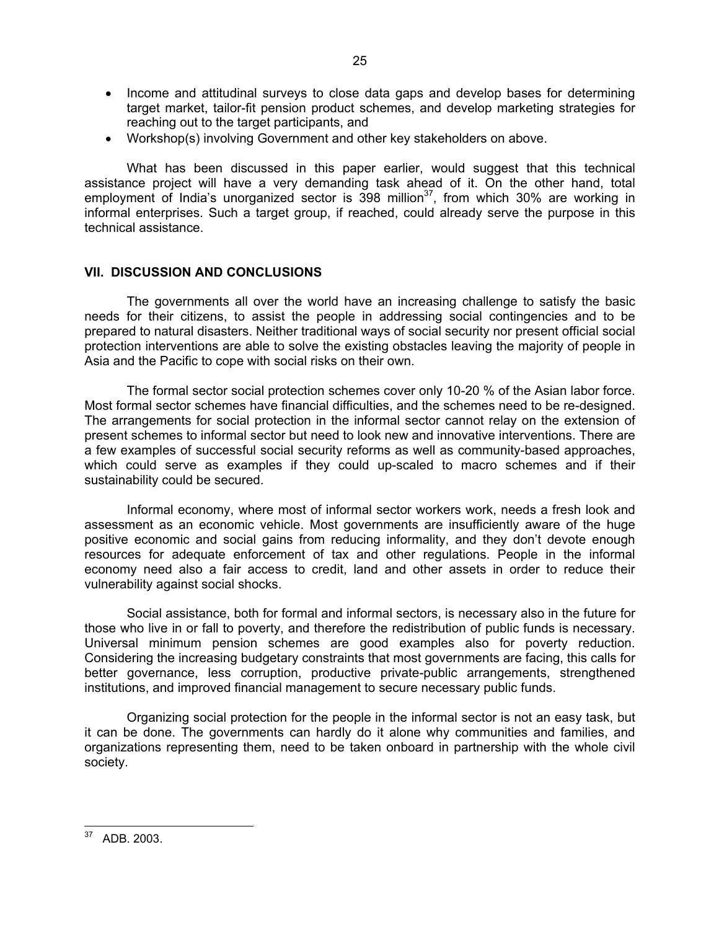- Income and attitudinal surveys to close data gaps and develop bases for determining target market, tailor-fit pension product schemes, and develop marketing strategies for reaching out to the target participants, and
- Workshop(s) involving Government and other key stakeholders on above.

 What has been discussed in this paper earlier, would suggest that this technical assistance project will have a very demanding task ahead of it. On the other hand, total employment of India's unorganized sector is  $398$  million<sup>37</sup>, from which 30% are working in informal enterprises. Such a target group, if reached, could already serve the purpose in this technical assistance.

#### **VII. DISCUSSION AND CONCLUSIONS**

 The governments all over the world have an increasing challenge to satisfy the basic needs for their citizens, to assist the people in addressing social contingencies and to be prepared to natural disasters. Neither traditional ways of social security nor present official social protection interventions are able to solve the existing obstacles leaving the majority of people in Asia and the Pacific to cope with social risks on their own.

 The formal sector social protection schemes cover only 10-20 % of the Asian labor force. Most formal sector schemes have financial difficulties, and the schemes need to be re-designed. The arrangements for social protection in the informal sector cannot relay on the extension of present schemes to informal sector but need to look new and innovative interventions. There are a few examples of successful social security reforms as well as community-based approaches, which could serve as examples if they could up-scaled to macro schemes and if their sustainability could be secured.

 Informal economy, where most of informal sector workers work, needs a fresh look and assessment as an economic vehicle. Most governments are insufficiently aware of the huge positive economic and social gains from reducing informality, and they don't devote enough resources for adequate enforcement of tax and other regulations. People in the informal economy need also a fair access to credit, land and other assets in order to reduce their vulnerability against social shocks.

 Social assistance, both for formal and informal sectors, is necessary also in the future for those who live in or fall to poverty, and therefore the redistribution of public funds is necessary. Universal minimum pension schemes are good examples also for poverty reduction. Considering the increasing budgetary constraints that most governments are facing, this calls for better governance, less corruption, productive private-public arrangements, strengthened institutions, and improved financial management to secure necessary public funds.

 Organizing social protection for the people in the informal sector is not an easy task, but it can be done. The governments can hardly do it alone why communities and families, and organizations representing them, need to be taken onboard in partnership with the whole civil society.

<span id="page-24-0"></span>  $37$  ADB. 2003.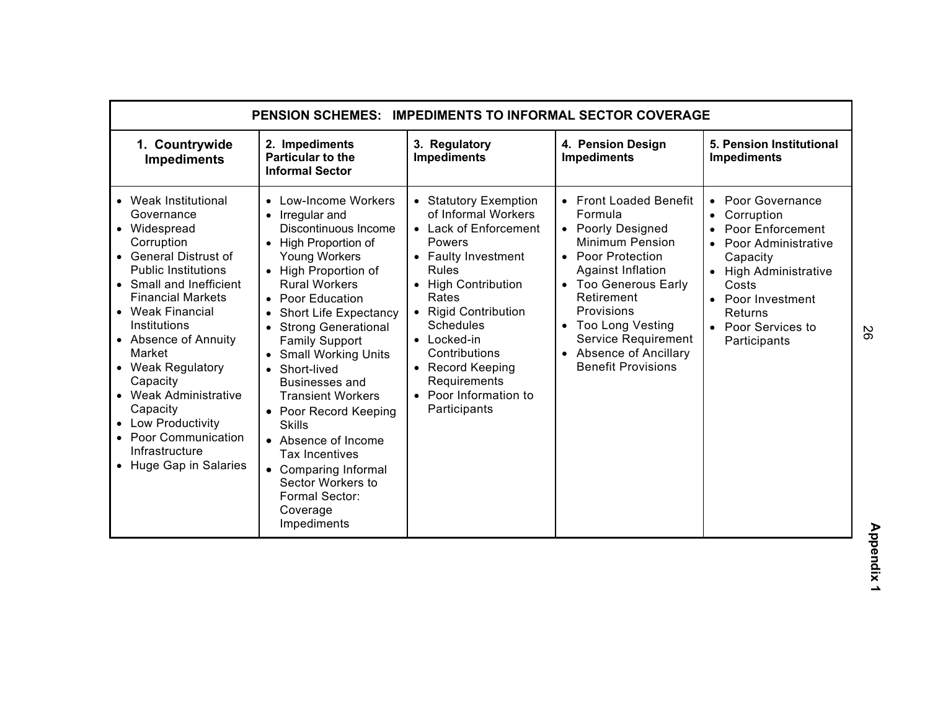| <b>PENSION SCHEMES:</b><br><b>IMPEDIMENTS TO INFORMAL SECTOR COVERAGE</b>                                                                                                                                                                                                                                                                                                                                            |                                                                                                                                                                                                                                                                                                                                                                                                                                                                                                                                                                                           |                                                                                                                                                                                                                                                                                                                  |                                                                                                                                                                                                                                                                                         |                                                                                                                                                                                                         |
|----------------------------------------------------------------------------------------------------------------------------------------------------------------------------------------------------------------------------------------------------------------------------------------------------------------------------------------------------------------------------------------------------------------------|-------------------------------------------------------------------------------------------------------------------------------------------------------------------------------------------------------------------------------------------------------------------------------------------------------------------------------------------------------------------------------------------------------------------------------------------------------------------------------------------------------------------------------------------------------------------------------------------|------------------------------------------------------------------------------------------------------------------------------------------------------------------------------------------------------------------------------------------------------------------------------------------------------------------|-----------------------------------------------------------------------------------------------------------------------------------------------------------------------------------------------------------------------------------------------------------------------------------------|---------------------------------------------------------------------------------------------------------------------------------------------------------------------------------------------------------|
| 1. Countrywide<br><b>Impediments</b>                                                                                                                                                                                                                                                                                                                                                                                 | 2. Impediments<br><b>Particular to the</b><br><b>Informal Sector</b>                                                                                                                                                                                                                                                                                                                                                                                                                                                                                                                      | 3. Regulatory<br><b>Impediments</b>                                                                                                                                                                                                                                                                              | 4. Pension Design<br><b>Impediments</b>                                                                                                                                                                                                                                                 | 5. Pension Institutional<br><b>Impediments</b>                                                                                                                                                          |
| • Weak Institutional<br>Governance<br>• Widespread<br>Corruption<br>• General Distrust of<br><b>Public Institutions</b><br>• Small and Inefficient<br><b>Financial Markets</b><br>• Weak Financial<br>Institutions<br>• Absence of Annuity<br>Market<br>• Weak Regulatory<br>Capacity<br>• Weak Administrative<br>Capacity<br>• Low Productivity<br>• Poor Communication<br>Infrastructure<br>• Huge Gap in Salaries | • Low-Income Workers<br>Irregular and<br>$\bullet$<br>Discontinuous Income<br>• High Proportion of<br><b>Young Workers</b><br>• High Proportion of<br><b>Rural Workers</b><br>• Poor Education<br><b>Short Life Expectancy</b><br>$\bullet$<br><b>Strong Generational</b><br><b>Family Support</b><br>• Small Working Units<br>Short-lived<br>$\bullet$<br>Businesses and<br><b>Transient Workers</b><br>• Poor Record Keeping<br><b>Skills</b><br>• Absence of Income<br><b>Tax Incentives</b><br>• Comparing Informal<br>Sector Workers to<br>Formal Sector:<br>Coverage<br>Impediments | • Statutory Exemption<br>of Informal Workers<br>• Lack of Enforcement<br>Powers<br>• Faulty Investment<br><b>Rules</b><br>• High Contribution<br>Rates<br>• Rigid Contribution<br>Schedules<br>$\bullet$ Locked-in<br>Contributions<br>• Record Keeping<br>Requirements<br>• Poor Information to<br>Participants | • Front Loaded Benefit<br>Formula<br>• Poorly Designed<br><b>Minimum Pension</b><br>• Poor Protection<br>Against Inflation<br>• Too Generous Early<br>Retirement<br>Provisions<br>• Too Long Vesting<br>Service Requirement<br><b>Absence of Ancillary</b><br><b>Benefit Provisions</b> | • Poor Governance<br>Corruption<br>$\bullet$<br>Poor Enforcement<br>Poor Administrative<br>Capacity<br>High Administrative<br>Costs<br>Poor Investment<br>Returns<br>• Poor Services to<br>Participants |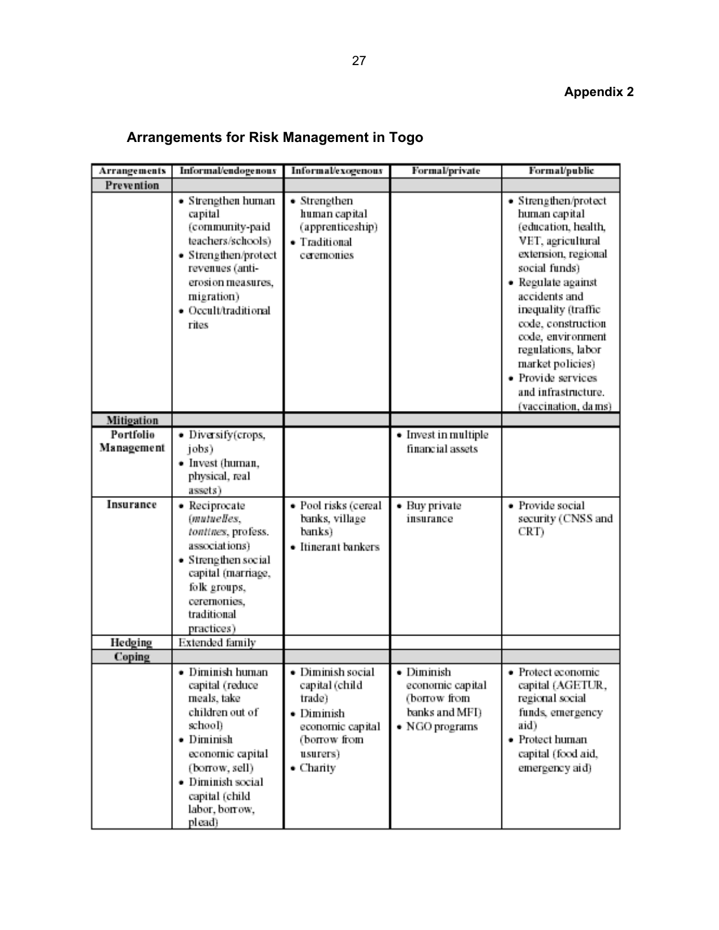# **Arrangements for Risk Management in Togo**

| Arrangements            | Informal/endogenous                                                                                                                                                                                     | Informal/exogenous                                                                                                               | Formal/private                                                                     | Formal/public                                                                                                                                                                                                                                                                                                                                    |
|-------------------------|---------------------------------------------------------------------------------------------------------------------------------------------------------------------------------------------------------|----------------------------------------------------------------------------------------------------------------------------------|------------------------------------------------------------------------------------|--------------------------------------------------------------------------------------------------------------------------------------------------------------------------------------------------------------------------------------------------------------------------------------------------------------------------------------------------|
| Prevention              |                                                                                                                                                                                                         |                                                                                                                                  |                                                                                    |                                                                                                                                                                                                                                                                                                                                                  |
|                         | • Strengthen human<br>capital<br>(community-paid<br>teachers/schools)<br>• Strengthen/protect<br>revenues (anti-<br>erosion measures,<br>migration)<br>· Occult/traditional<br>rites                    | • Strengthen<br>human capital<br>(apprenticeship)<br>· Traditional<br>ceremonies                                                 |                                                                                    | • Strengthen/protect<br>human capital<br>(education, health,<br>VET, agricultural<br>extension, regional<br>social funds)<br>• Regulate against<br>accidents and<br>inequality (traffic<br>code, construction<br>code, environment<br>regulations, labor<br>market policies)<br>· Provide services<br>and infrastructure.<br>(vaccination, dams) |
| Mitigation              |                                                                                                                                                                                                         |                                                                                                                                  |                                                                                    |                                                                                                                                                                                                                                                                                                                                                  |
| Portfolio<br>Management | · Diversify(crops,<br>jobs)<br>· Invest (human,<br>physical, real<br>assets)                                                                                                                            |                                                                                                                                  | • Invest in multiple<br>financial assets                                           |                                                                                                                                                                                                                                                                                                                                                  |
| Insurance               | · Reciprocate<br>(mutuelles,<br>tontines, profess.<br>associations)<br>• Strengthen social<br>capital (marriage,<br>folk groups,<br>ceremonies,<br>traditional<br>practices)                            | · Pool risks (cereal<br>banks, village<br>banks)<br>• Itinerant bankers                                                          | • Buy private<br>insurance                                                         | · Provide social<br>security (CNSS and<br>CRT)                                                                                                                                                                                                                                                                                                   |
| Hedging                 | Extended family                                                                                                                                                                                         |                                                                                                                                  |                                                                                    |                                                                                                                                                                                                                                                                                                                                                  |
| Coping                  | · Diminish human<br>capital (reduce<br>meals, take<br>children out of<br>school)<br>• Diminish<br>economic capital<br>(borrow, sell)<br>• Diminish social<br>capital (child<br>labor, borrow,<br>plead) | · Diminish social<br>capital (child<br>trade)<br>· Diminish<br>economic capital<br>(borrow from<br>usurers)<br>$\bullet$ Charity | • Diminish<br>economic capital<br>(borrow from<br>banks and MFI)<br>· NGO programs | • Protect economic<br>capital (AGETUR,<br>regional social<br>funds, emergency<br>aid)<br>· Protect human<br>capital (food aid,<br>emergency aid)                                                                                                                                                                                                 |